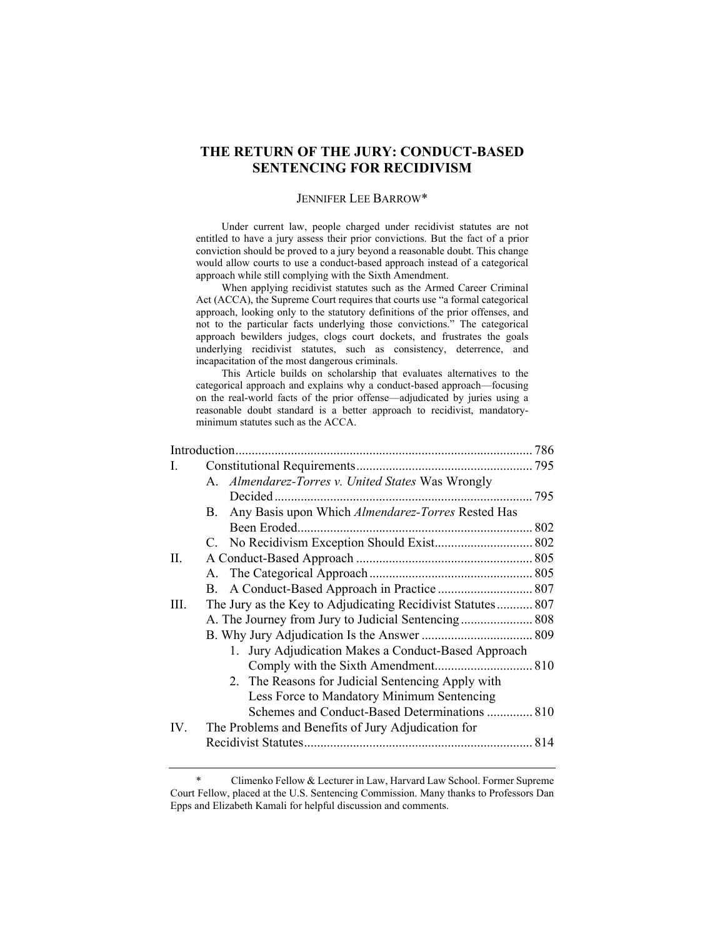# **THE RETURN OF THE JURY: CONDUCT-BASED SENTENCING FOR RECIDIVISM**

#### JENNIFER LEE BARROW\*

 Under current law, people charged under recidivist statutes are not entitled to have a jury assess their prior convictions. But the fact of a prior conviction should be proved to a jury beyond a reasonable doubt. This change would allow courts to use a conduct-based approach instead of a categorical approach while still complying with the Sixth Amendment.

 When applying recidivist statutes such as the Armed Career Criminal Act (ACCA), the Supreme Court requires that courts use "a formal categorical approach, looking only to the statutory definitions of the prior offenses, and not to the particular facts underlying those convictions." The categorical approach bewilders judges, clogs court dockets, and frustrates the goals underlying recidivist statutes, such as consistency, deterrence, and incapacitation of the most dangerous criminals.

 This Article builds on scholarship that evaluates alternatives to the categorical approach and explains why a conduct-based approach—focusing on the real-world facts of the prior offense—adjudicated by juries using a reasonable doubt standard is a better approach to recidivist, mandatoryminimum statutes such as the ACCA.

| L    |                                                             |  |
|------|-------------------------------------------------------------|--|
|      | A. Almendarez-Torres v. United States Was Wrongly           |  |
|      |                                                             |  |
|      | Any Basis upon Which Almendarez-Torres Rested Has<br>B.     |  |
|      |                                                             |  |
|      |                                                             |  |
| II.  |                                                             |  |
|      |                                                             |  |
|      |                                                             |  |
| III. | The Jury as the Key to Adjudicating Recidivist Statutes 807 |  |
|      | A. The Journey from Jury to Judicial Sentencing 808         |  |
|      |                                                             |  |
|      | 1. Jury Adjudication Makes a Conduct-Based Approach         |  |
|      |                                                             |  |
|      | 2. The Reasons for Judicial Sentencing Apply with           |  |
|      | Less Force to Mandatory Minimum Sentencing                  |  |
|      | Schemes and Conduct-Based Determinations  810               |  |
| IV.  | The Problems and Benefits of Jury Adjudication for          |  |
|      |                                                             |  |
|      |                                                             |  |

Climenko Fellow & Lecturer in Law, Harvard Law School. Former Supreme Court Fellow, placed at the U.S. Sentencing Commission. Many thanks to Professors Dan Epps and Elizabeth Kamali for helpful discussion and comments.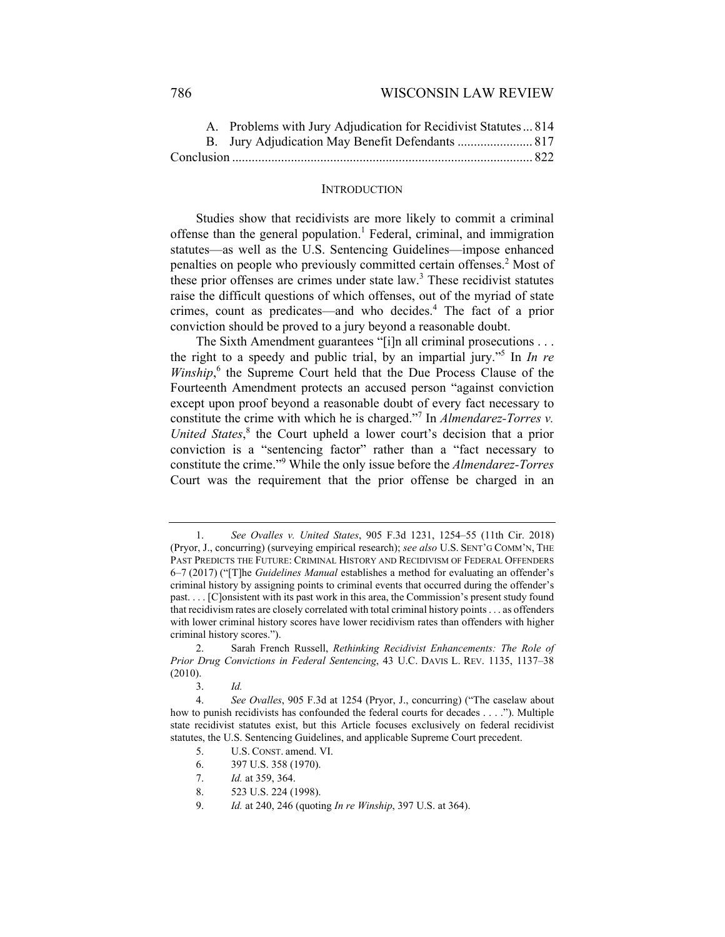## 786 WISCONSIN LAW REVIEW

| A. Problems with Jury Adjudication for Recidivist Statutes  814 |  |
|-----------------------------------------------------------------|--|
| B. Jury Adjudication May Benefit Defendants  817                |  |
|                                                                 |  |

#### **INTRODUCTION**

Studies show that recidivists are more likely to commit a criminal offense than the general population.<sup>1</sup> Federal, criminal, and immigration statutes—as well as the U.S. Sentencing Guidelines—impose enhanced penalties on people who previously committed certain offenses.<sup>2</sup> Most of these prior offenses are crimes under state law.<sup>3</sup> These recidivist statutes raise the difficult questions of which offenses, out of the myriad of state crimes, count as predicates—and who decides.<sup>4</sup> The fact of a prior conviction should be proved to a jury beyond a reasonable doubt.

The Sixth Amendment guarantees "[i]n all criminal prosecutions . . . the right to a speedy and public trial, by an impartial jury."5 In *In re*  Winship,<sup>6</sup> the Supreme Court held that the Due Process Clause of the Fourteenth Amendment protects an accused person "against conviction except upon proof beyond a reasonable doubt of every fact necessary to constitute the crime with which he is charged."7 In *Almendarez-Torres v.*  United States,<sup>8</sup> the Court upheld a lower court's decision that a prior conviction is a "sentencing factor" rather than a "fact necessary to constitute the crime."<sup>9</sup> While the only issue before the *Almendarez-Torres*  Court was the requirement that the prior offense be charged in an

 <sup>1.</sup> *See Ovalles v. United States*, 905 F.3d 1231, 1254–55 (11th Cir. 2018) (Pryor, J., concurring) (surveying empirical research); *see also* U.S. SENT'G COMM'N, THE PAST PREDICTS THE FUTURE: CRIMINAL HISTORY AND RECIDIVISM OF FEDERAL OFFENDERS 6–7 (2017) ("[T]he *Guidelines Manual* establishes a method for evaluating an offender's criminal history by assigning points to criminal events that occurred during the offender's past. . . . [C]onsistent with its past work in this area, the Commission's present study found that recidivism rates are closely correlated with total criminal history points . . . as offenders with lower criminal history scores have lower recidivism rates than offenders with higher criminal history scores.").

<sup>2.</sup> Sarah French Russell, *Rethinking Recidivist Enhancements: The Role of Prior Drug Convictions in Federal Sentencing*, 43 U.C. DAVIS L. REV. 1135, 1137–38 (2010).

<sup>3.</sup> *Id.*

 <sup>4.</sup> *See Ovalles*, 905 F.3d at 1254 (Pryor, J., concurring) ("The caselaw about how to punish recidivists has confounded the federal courts for decades . . . ."). Multiple state recidivist statutes exist, but this Article focuses exclusively on federal recidivist statutes, the U.S. Sentencing Guidelines, and applicable Supreme Court precedent.

<sup>5.</sup> U.S. CONST. amend. VI.

 <sup>6. 397</sup> U.S. 358 (1970).

 <sup>7.</sup> *Id.* at 359, 364.

 <sup>8. 523</sup> U.S. 224 (1998).

 <sup>9.</sup> *Id.* at 240, 246 (quoting *In re Winship*, 397 U.S. at 364).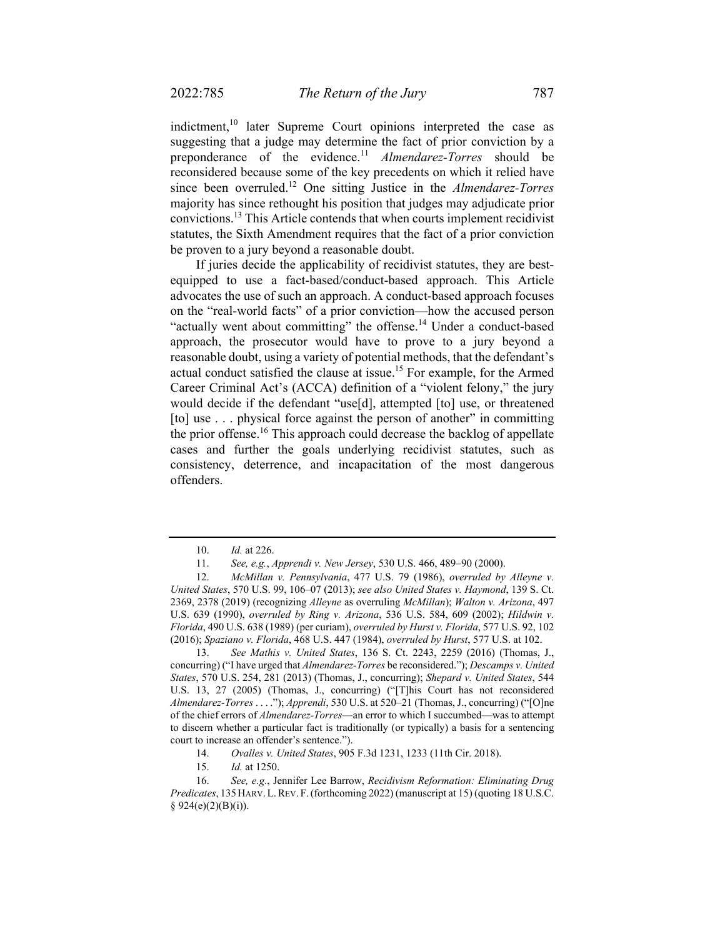indictment, $10$  later Supreme Court opinions interpreted the case as suggesting that a judge may determine the fact of prior conviction by a preponderance of the evidence.<sup>11</sup> *Almendarez-Torres* should be reconsidered because some of the key precedents on which it relied have since been overruled.12 One sitting Justice in the *Almendarez-Torres*  majority has since rethought his position that judges may adjudicate prior convictions.13 This Article contends that when courts implement recidivist statutes, the Sixth Amendment requires that the fact of a prior conviction be proven to a jury beyond a reasonable doubt.

If juries decide the applicability of recidivist statutes, they are bestequipped to use a fact-based/conduct-based approach. This Article advocates the use of such an approach. A conduct-based approach focuses on the "real-world facts" of a prior conviction—how the accused person "actually went about committing" the offense.<sup>14</sup> Under a conduct-based approach, the prosecutor would have to prove to a jury beyond a reasonable doubt, using a variety of potential methods, that the defendant's actual conduct satisfied the clause at issue.<sup>15</sup> For example, for the Armed Career Criminal Act's (ACCA) definition of a "violent felony," the jury would decide if the defendant "use[d], attempted [to] use, or threatened [to] use . . . physical force against the person of another" in committing the prior offense.<sup>16</sup> This approach could decrease the backlog of appellate cases and further the goals underlying recidivist statutes, such as consistency, deterrence, and incapacitation of the most dangerous offenders.

<sup>10.</sup> *Id.* at 226.

 <sup>11.</sup> *See, e.g.*, *Apprendi v. New Jersey*, 530 U.S. 466, 489–90 (2000).

 <sup>12.</sup> *McMillan v. Pennsylvania*, 477 U.S. 79 (1986), *overruled by Alleyne v. United States*, 570 U.S. 99, 106–07 (2013); *see also United States v. Haymond*, 139 S. Ct. 2369, 2378 (2019) (recognizing *Alleyne* as overruling *McMillan*); *Walton v. Arizona*, 497 U.S. 639 (1990), *overruled by Ring v. Arizona*, 536 U.S. 584, 609 (2002); *Hildwin v. Florida*, 490 U.S. 638 (1989) (per curiam), *overruled by Hurst v. Florida*, 577 U.S. 92, 102 (2016); *Spaziano v. Florida*, 468 U.S. 447 (1984), *overruled by Hurst*, 577 U.S. at 102.

 <sup>13.</sup> *See Mathis v. United States*, 136 S. Ct. 2243, 2259 (2016) (Thomas, J., concurring) ("I have urged that *Almendarez-Torres* be reconsidered."); *Descamps v. United States*, 570 U.S. 254, 281 (2013) (Thomas, J., concurring); *Shepard v. United States*, 544 U.S. 13, 27 (2005) (Thomas, J., concurring) ("[T]his Court has not reconsidered *Almendarez-Torres* . . . ."); *Apprendi*, 530 U.S. at 520–21 (Thomas, J., concurring) ("[O]ne of the chief errors of *Almendarez-Torres*—an error to which I succumbed—was to attempt to discern whether a particular fact is traditionally (or typically) a basis for a sentencing court to increase an offender's sentence.").

 <sup>14.</sup> *Ovalles v. United States*, 905 F.3d 1231, 1233 (11th Cir. 2018).

<sup>15.</sup> *Id.* at 1250.

 <sup>16.</sup> *See, e.g.*, Jennifer Lee Barrow, *Recidivism Reformation: Eliminating Drug Predicates*, 135HARV.L.REV. F.(forthcoming 2022) (manuscript at 15) (quoting 18 U.S.C.  $§ 924(e)(2)(B)(i)).$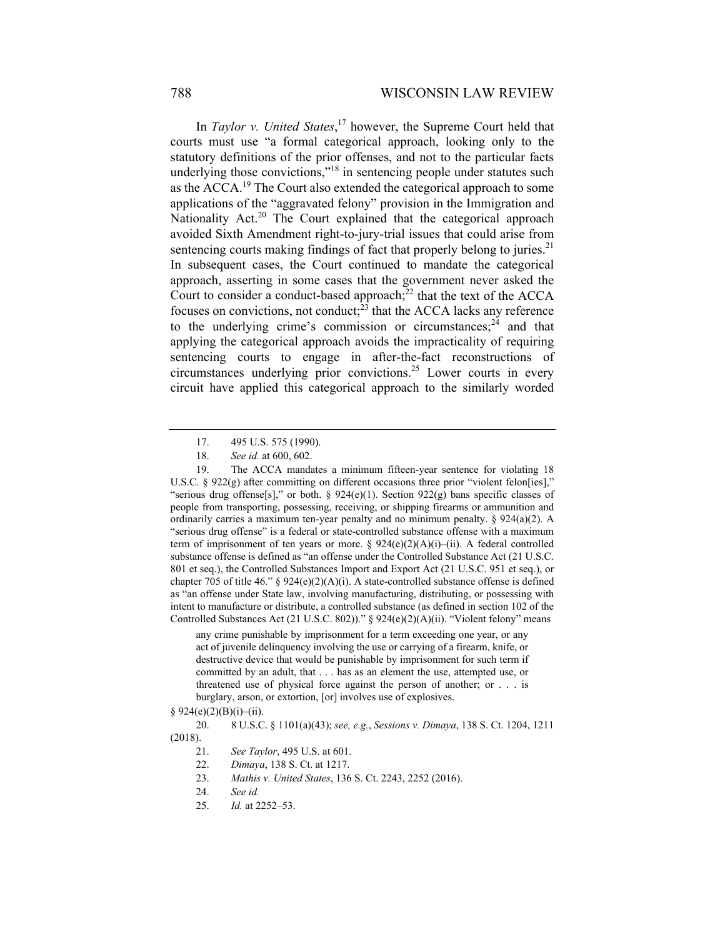In *Taylor v. United States*, 17 however, the Supreme Court held that courts must use "a formal categorical approach, looking only to the statutory definitions of the prior offenses, and not to the particular facts underlying those convictions,"<sup>18</sup> in sentencing people under statutes such as the ACCA.<sup>19</sup> The Court also extended the categorical approach to some applications of the "aggravated felony" provision in the Immigration and Nationality Act.<sup>20</sup> The Court explained that the categorical approach avoided Sixth Amendment right-to-jury-trial issues that could arise from sentencing courts making findings of fact that properly belong to juries.<sup>21</sup> In subsequent cases, the Court continued to mandate the categorical approach, asserting in some cases that the government never asked the Court to consider a conduct-based approach; $^{22}$  that the text of the ACCA focuses on convictions, not conduct; $\frac{23}{3}$  that the ACCA lacks any reference to the underlying crime's commission or circumstances; $^{24}$  and that applying the categorical approach avoids the impracticality of requiring sentencing courts to engage in after-the-fact reconstructions of circumstances underlying prior convictions.25 Lower courts in every circuit have applied this categorical approach to the similarly worded

any crime punishable by imprisonment for a term exceeding one year, or any act of juvenile delinquency involving the use or carrying of a firearm, knife, or destructive device that would be punishable by imprisonment for such term if committed by an adult, that . . . has as an element the use, attempted use, or threatened use of physical force against the person of another; or . . . is burglary, arson, or extortion, [or] involves use of explosives.

 <sup>17. 495</sup> U.S. 575 (1990).

 <sup>18.</sup> *See id.* at 600, 602.

 <sup>19.</sup> The ACCA mandates a minimum fifteen-year sentence for violating 18 U.S.C. § 922(g) after committing on different occasions three prior "violent felon[ies]," "serious drug offense[s]," or both. § 924(e)(1). Section 922(g) bans specific classes of people from transporting, possessing, receiving, or shipping firearms or ammunition and ordinarily carries a maximum ten-year penalty and no minimum penalty. § 924(a)(2). A "serious drug offense" is a federal or state-controlled substance offense with a maximum term of imprisonment of ten years or more. §  $924(e)(2)(A)(i)$ –(ii). A federal controlled substance offense is defined as "an offense under the Controlled Substance Act (21 U.S.C. 801 et seq.), the Controlled Substances Import and Export Act (21 U.S.C. 951 et seq.), or chapter 705 of title 46." §  $924(e)(2)(A)(i)$ . A state-controlled substance offense is defined as "an offense under State law, involving manufacturing, distributing, or possessing with intent to manufacture or distribute, a controlled substance (as defined in section 102 of the Controlled Substances Act (21 U.S.C. 802))." § 924(e)(2)(A)(ii). "Violent felony" means

 $§$  924(e)(2)(B)(i)–(ii).

 <sup>20. 8</sup> U.S.C. § 1101(a)(43); *see, e.g.*, *Sessions v. Dimaya*, 138 S. Ct. 1204, 1211 (2018).

<sup>21.</sup> *See Taylor*, 495 U.S. at 601.

<sup>22.</sup> *Dimaya*, 138 S. Ct. at 1217.

<sup>23.</sup> *Mathis v. United States*, 136 S. Ct. 2243, 2252 (2016).

<sup>24.</sup> *See id.* 

<sup>25.</sup> *Id.* at 2252–53.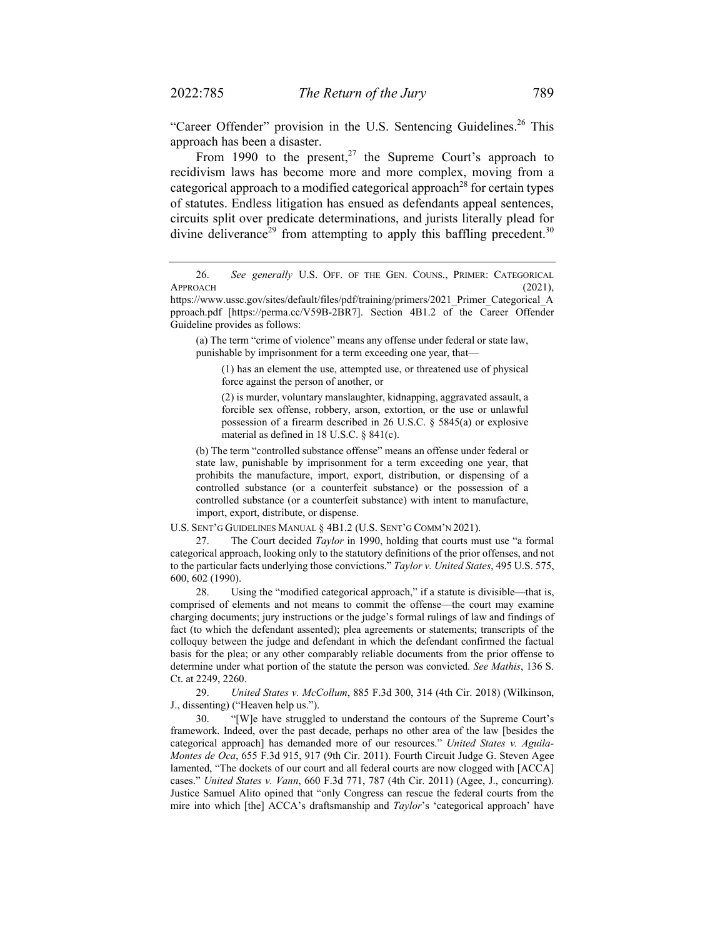"Career Offender" provision in the U.S. Sentencing Guidelines.<sup>26</sup> This approach has been a disaster.

From 1990 to the present,<sup>27</sup> the Supreme Court's approach to recidivism laws has become more and more complex, moving from a categorical approach to a modified categorical approach<sup>28</sup> for certain types of statutes. Endless litigation has ensued as defendants appeal sentences, circuits split over predicate determinations, and jurists literally plead for divine deliverance<sup>29</sup> from attempting to apply this baffling precedent.<sup>30</sup>

(a) The term "crime of violence" means any offense under federal or state law, punishable by imprisonment for a term exceeding one year, that—

(1) has an element the use, attempted use, or threatened use of physical force against the person of another, or

(2) is murder, voluntary manslaughter, kidnapping, aggravated assault, a forcible sex offense, robbery, arson, extortion, or the use or unlawful possession of a firearm described in 26 U.S.C. § 5845(a) or explosive material as defined in 18 U.S.C. § 841(c).

(b) The term "controlled substance offense" means an offense under federal or state law, punishable by imprisonment for a term exceeding one year, that prohibits the manufacture, import, export, distribution, or dispensing of a controlled substance (or a counterfeit substance) or the possession of a controlled substance (or a counterfeit substance) with intent to manufacture, import, export, distribute, or dispense.

U.S. SENT'G GUIDELINES MANUAL § 4B1.2 (U.S. SENT'G COMM'N 2021).

 27. The Court decided *Taylor* in 1990, holding that courts must use "a formal categorical approach, looking only to the statutory definitions of the prior offenses, and not to the particular facts underlying those convictions." *Taylor v. United States*, 495 U.S. 575, 600, 602 (1990).

 28. Using the "modified categorical approach," if a statute is divisible—that is, comprised of elements and not means to commit the offense—the court may examine charging documents; jury instructions or the judge's formal rulings of law and findings of fact (to which the defendant assented); plea agreements or statements; transcripts of the colloquy between the judge and defendant in which the defendant confirmed the factual basis for the plea; or any other comparably reliable documents from the prior offense to determine under what portion of the statute the person was convicted. *See Mathis*, 136 S. Ct. at 2249, 2260.

 29. *United States v. McCollum*, 885 F.3d 300, 314 (4th Cir. 2018) (Wilkinson, J., dissenting) ("Heaven help us.").

 30. "[W]e have struggled to understand the contours of the Supreme Court's framework. Indeed, over the past decade, perhaps no other area of the law [besides the categorical approach] has demanded more of our resources." *United States v. Aguila-Montes de Oca*, 655 F.3d 915, 917 (9th Cir. 2011). Fourth Circuit Judge G. Steven Agee lamented, "The dockets of our court and all federal courts are now clogged with [ACCA] cases." *United States v. Vann*, 660 F.3d 771, 787 (4th Cir. 2011) (Agee, J., concurring). Justice Samuel Alito opined that "only Congress can rescue the federal courts from the mire into which [the] ACCA's draftsmanship and *Taylor*'s 'categorical approach' have

 <sup>26.</sup> *See generally* U.S. OFF. OF THE GEN. COUNS., PRIMER: CATEGORICAL APPROACH (2021),

https://www.ussc.gov/sites/default/files/pdf/training/primers/2021\_Primer\_Categorical\_A pproach.pdf [https://perma.cc/V59B-2BR7]. Section 4B1.2 of the Career Offender Guideline provides as follows: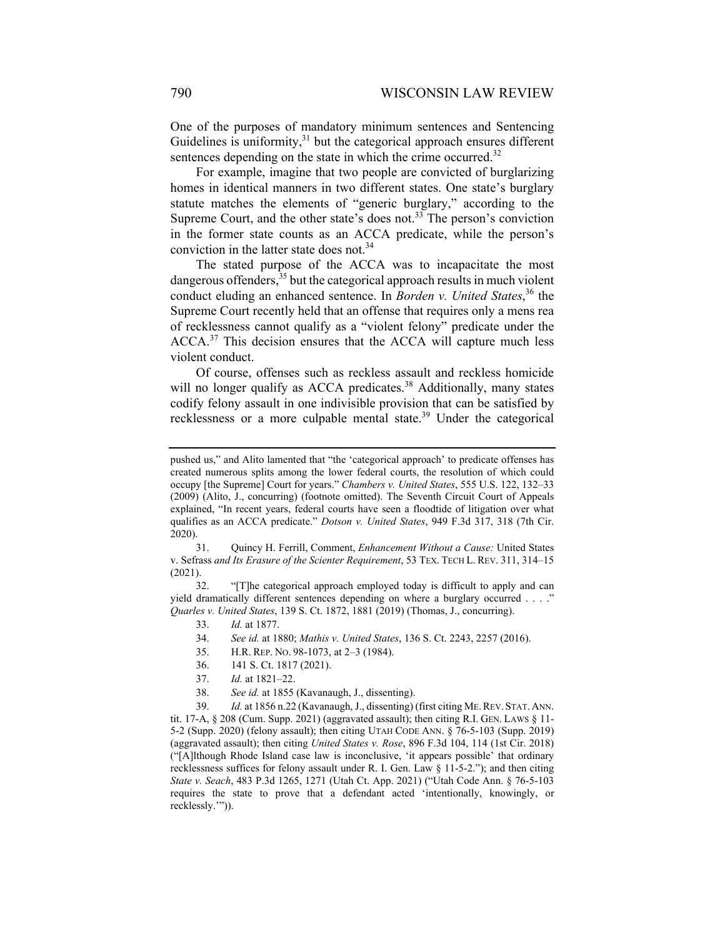One of the purposes of mandatory minimum sentences and Sentencing Guidelines is uniformity, $31$  but the categorical approach ensures different sentences depending on the state in which the crime occurred. $32$ 

For example, imagine that two people are convicted of burglarizing homes in identical manners in two different states. One state's burglary statute matches the elements of "generic burglary," according to the Supreme Court, and the other state's does not.<sup>33</sup> The person's conviction in the former state counts as an ACCA predicate, while the person's conviction in the latter state does not.<sup>34</sup>

The stated purpose of the ACCA was to incapacitate the most dangerous offenders,  $35$  but the categorical approach results in much violent conduct eluding an enhanced sentence. In *Borden v. United States*, 36 the Supreme Court recently held that an offense that requires only a mens rea of recklessness cannot qualify as a "violent felony" predicate under the ACCA.<sup>37</sup> This decision ensures that the ACCA will capture much less violent conduct.

Of course, offenses such as reckless assault and reckless homicide will no longer qualify as ACCA predicates.<sup>38</sup> Additionally, many states codify felony assault in one indivisible provision that can be satisfied by recklessness or a more culpable mental state.39 Under the categorical

31. Quincy H. Ferrill, Comment, *Enhancement Without a Cause:* United States v. Sefrass *and Its Erasure of the Scienter Requirement*, 53 TEX. TECH L. REV. 311, 314–15 (2021).

 32. "[T]he categorical approach employed today is difficult to apply and can yield dramatically different sentences depending on where a burglary occurred . . . ." *Quarles v. United States*, 139 S. Ct. 1872, 1881 (2019) (Thomas, J., concurring).

- 34. *See id.* at 1880; *Mathis v. United States*, 136 S. Ct. 2243, 2257 (2016).
- 35. H.R. REP. NO. 98-1073, at 2–3 (1984).
- 36. 141 S. Ct. 1817 (2021).
- 37. *Id.* at 1821–22.
- 38. *See id.* at 1855 (Kavanaugh, J., dissenting).

 39. *Id.* at 1856 n.22 (Kavanaugh, J., dissenting) (first citing ME.REV. STAT. ANN. tit. 17-A, § 208 (Cum. Supp. 2021) (aggravated assault); then citing R.I. GEN. LAWS § 11- 5-2 (Supp. 2020) (felony assault); then citing UTAH CODE ANN. § 76-5-103 (Supp. 2019) (aggravated assault); then citing *United States v. Rose*, 896 F.3d 104, 114 (1st Cir. 2018) ("[A]lthough Rhode Island case law is inconclusive, 'it appears possible' that ordinary recklessness suffices for felony assault under R. I. Gen. Law § 11-5-2."); and then citing *State v. Seach*, 483 P.3d 1265, 1271 (Utah Ct. App. 2021) ("Utah Code Ann. § 76-5-103 requires the state to prove that a defendant acted 'intentionally, knowingly, or recklessly.'")).

pushed us," and Alito lamented that "the 'categorical approach' to predicate offenses has created numerous splits among the lower federal courts, the resolution of which could occupy [the Supreme] Court for years." *Chambers v. United States*, 555 U.S. 122, 132–33 (2009) (Alito, J., concurring) (footnote omitted). The Seventh Circuit Court of Appeals explained, "In recent years, federal courts have seen a floodtide of litigation over what qualifies as an ACCA predicate." *Dotson v. United States*, 949 F.3d 317, 318 (7th Cir. 2020).

<sup>33.</sup> *Id.* at 1877.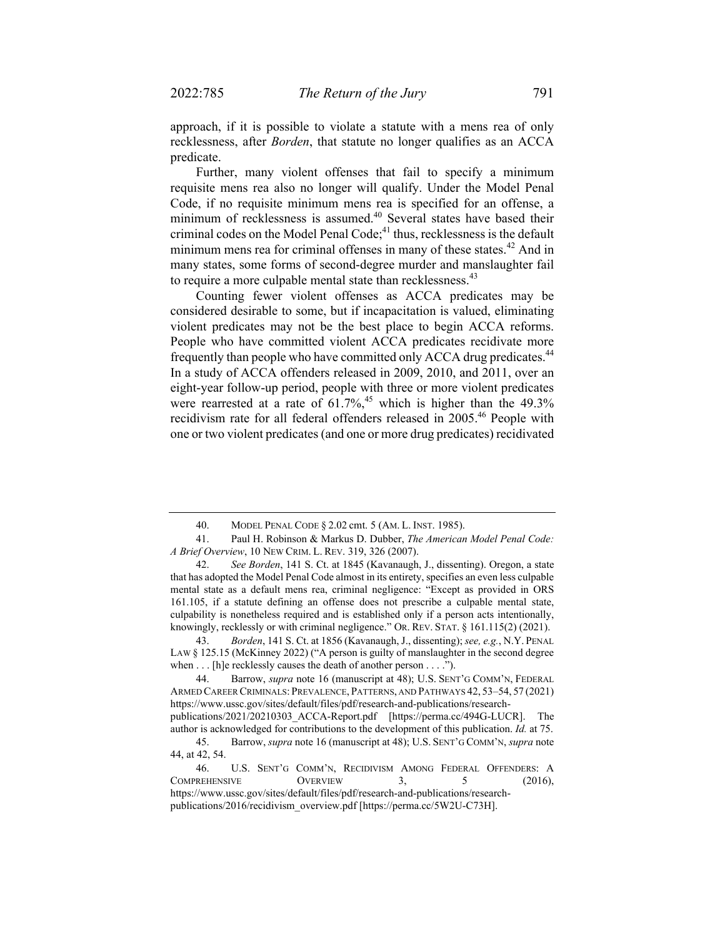approach, if it is possible to violate a statute with a mens rea of only recklessness, after *Borden*, that statute no longer qualifies as an ACCA predicate.

Further, many violent offenses that fail to specify a minimum requisite mens rea also no longer will qualify. Under the Model Penal Code, if no requisite minimum mens rea is specified for an offense, a minimum of recklessness is assumed.<sup>40</sup> Several states have based their criminal codes on the Model Penal Code;<sup>41</sup> thus, recklessness is the default minimum mens rea for criminal offenses in many of these states.<sup>42</sup> And in many states, some forms of second-degree murder and manslaughter fail to require a more culpable mental state than recklessness.<sup>43</sup>

Counting fewer violent offenses as ACCA predicates may be considered desirable to some, but if incapacitation is valued, eliminating violent predicates may not be the best place to begin ACCA reforms. People who have committed violent ACCA predicates recidivate more frequently than people who have committed only ACCA drug predicates.<sup>44</sup> In a study of ACCA offenders released in 2009, 2010, and 2011, over an eight-year follow-up period, people with three or more violent predicates were rearrested at a rate of  $61.7\%$ ,<sup>45</sup> which is higher than the 49.3% recidivism rate for all federal offenders released in 2005.46 People with one or two violent predicates (and one or more drug predicates) recidivated

 43. *Borden*, 141 S. Ct. at 1856 (Kavanaugh, J., dissenting); *see, e.g.*, N.Y. PENAL LAW § 125.15 (McKinney 2022) ("A person is guilty of manslaughter in the second degree when . . . [h]e recklessly causes the death of another person . . . .").

 44. Barrow, *supra* note 16 (manuscript at 48); U.S. SENT'G COMM'N, FEDERAL ARMED CAREER CRIMINALS: PREVALENCE, PATTERNS, AND PATHWAYS 42, 53–54, 57 (2021) https://www.ussc.gov/sites/default/files/pdf/research-and-publications/researchpublications/2021/20210303\_ACCA-Report.pdf [https://perma.cc/494G-LUCR]. The

 <sup>40.</sup> MODEL PENAL CODE § 2.02 cmt. 5 (AM. L. INST. 1985).

<sup>41.</sup> Paul H. Robinson & Markus D. Dubber, *The American Model Penal Code: A Brief Overview*, 10 NEW CRIM. L. REV. 319, 326 (2007).

 <sup>42.</sup> *See Borden*, 141 S. Ct. at 1845 (Kavanaugh, J., dissenting). Oregon, a state that has adopted the Model Penal Code almost in its entirety, specifies an even less culpable mental state as a default mens rea, criminal negligence: "Except as provided in ORS 161.105, if a statute defining an offense does not prescribe a culpable mental state, culpability is nonetheless required and is established only if a person acts intentionally, knowingly, recklessly or with criminal negligence." OR. REV. STAT. § 161.115(2) (2021).

author is acknowledged for contributions to the development of this publication. *Id.* at 75. 45. Barrow, *supra* note 16 (manuscript at 48); U.S. SENT'G COMM'N, *supra* note 44, at 42, 54.

 <sup>46.</sup> U.S. SENT'G COMM'N, RECIDIVISM AMONG FEDERAL OFFENDERS: A COMPREHENSIVE OVERVIEW 3, 5 (2016), https://www.ussc.gov/sites/default/files/pdf/research-and-publications/researchpublications/2016/recidivism\_overview.pdf [https://perma.cc/5W2U-C73H].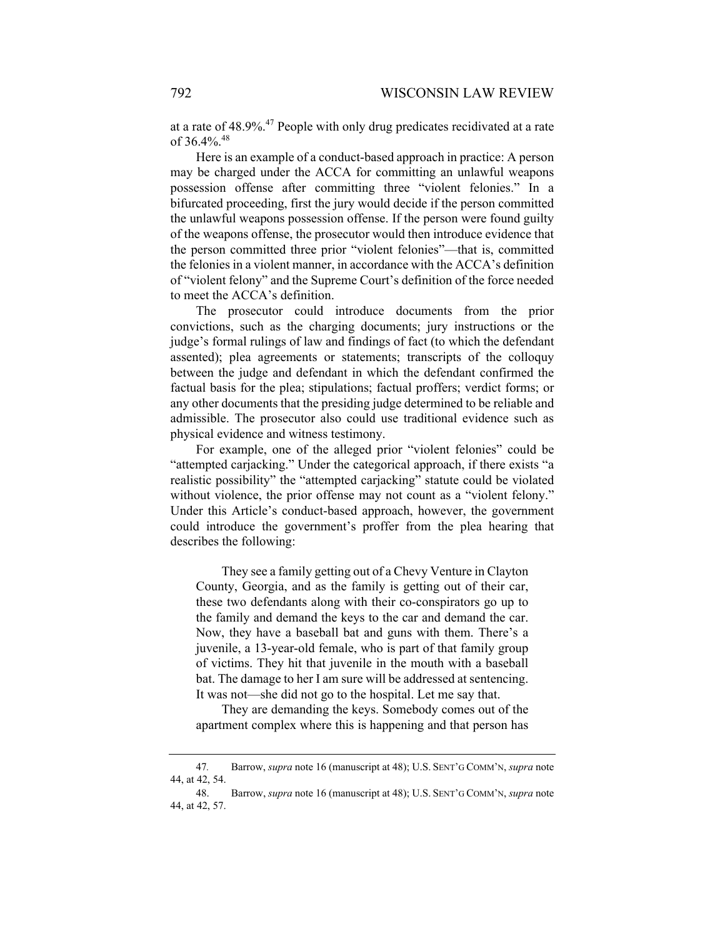at a rate of 48.9%.47 People with only drug predicates recidivated at a rate of 36.4%.<sup>48</sup>

Here is an example of a conduct-based approach in practice: A person may be charged under the ACCA for committing an unlawful weapons possession offense after committing three "violent felonies." In a bifurcated proceeding, first the jury would decide if the person committed the unlawful weapons possession offense. If the person were found guilty of the weapons offense, the prosecutor would then introduce evidence that the person committed three prior "violent felonies"—that is, committed the felonies in a violent manner, in accordance with the ACCA's definition of "violent felony" and the Supreme Court's definition of the force needed to meet the ACCA's definition.

The prosecutor could introduce documents from the prior convictions, such as the charging documents; jury instructions or the judge's formal rulings of law and findings of fact (to which the defendant assented); plea agreements or statements; transcripts of the colloquy between the judge and defendant in which the defendant confirmed the factual basis for the plea; stipulations; factual proffers; verdict forms; or any other documents that the presiding judge determined to be reliable and admissible. The prosecutor also could use traditional evidence such as physical evidence and witness testimony.

For example, one of the alleged prior "violent felonies" could be "attempted carjacking." Under the categorical approach, if there exists "a realistic possibility" the "attempted carjacking" statute could be violated without violence, the prior offense may not count as a "violent felony." Under this Article's conduct-based approach, however, the government could introduce the government's proffer from the plea hearing that describes the following:

They see a family getting out of a Chevy Venture in Clayton County, Georgia, and as the family is getting out of their car, these two defendants along with their co-conspirators go up to the family and demand the keys to the car and demand the car. Now, they have a baseball bat and guns with them. There's a juvenile, a 13-year-old female, who is part of that family group of victims. They hit that juvenile in the mouth with a baseball bat. The damage to her I am sure will be addressed at sentencing. It was not—she did not go to the hospital. Let me say that.

They are demanding the keys. Somebody comes out of the apartment complex where this is happening and that person has

<sup>47</sup>*.* Barrow, *supra* note 16 (manuscript at 48); U.S. SENT'G COMM'N, *supra* note 44, at 42, 54.

 <sup>48.</sup> Barrow, *supra* note 16 (manuscript at 48); U.S. SENT'G COMM'N, *supra* note 44, at 42, 57.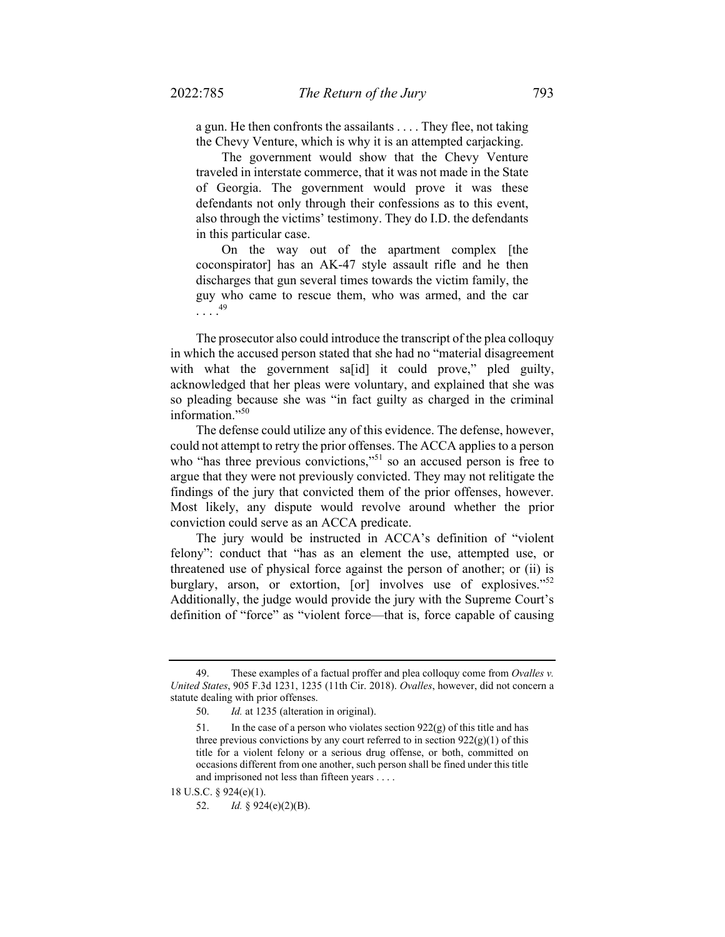a gun. He then confronts the assailants . . . . They flee, not taking the Chevy Venture, which is why it is an attempted carjacking.

The government would show that the Chevy Venture traveled in interstate commerce, that it was not made in the State of Georgia. The government would prove it was these defendants not only through their confessions as to this event, also through the victims' testimony. They do I.D. the defendants in this particular case.

On the way out of the apartment complex [the coconspirator] has an AK-47 style assault rifle and he then discharges that gun several times towards the victim family, the guy who came to rescue them, who was armed, and the car  $\ldots$ .<sup>49</sup>

The prosecutor also could introduce the transcript of the plea colloquy in which the accused person stated that she had no "material disagreement with what the government sa[id] it could prove," pled guilty, acknowledged that her pleas were voluntary, and explained that she was so pleading because she was "in fact guilty as charged in the criminal information."<sup>50</sup>

The defense could utilize any of this evidence. The defense, however, could not attempt to retry the prior offenses. The ACCA applies to a person who "has three previous convictions,"<sup>51</sup> so an accused person is free to argue that they were not previously convicted. They may not relitigate the findings of the jury that convicted them of the prior offenses, however. Most likely, any dispute would revolve around whether the prior conviction could serve as an ACCA predicate.

The jury would be instructed in ACCA's definition of "violent felony": conduct that "has as an element the use, attempted use, or threatened use of physical force against the person of another; or (ii) is burglary, arson, or extortion,  $\lceil$  or involves use of explosives."<sup>52</sup> Additionally, the judge would provide the jury with the Supreme Court's definition of "force" as "violent force—that is, force capable of causing

 <sup>49.</sup> These examples of a factual proffer and plea colloquy come from *Ovalles v. United States*, 905 F.3d 1231, 1235 (11th Cir. 2018). *Ovalles*, however, did not concern a statute dealing with prior offenses.

 <sup>50.</sup> *Id.* at 1235 (alteration in original).

<sup>51.</sup> In the case of a person who violates section  $922(g)$  of this title and has three previous convictions by any court referred to in section  $922(g)(1)$  of this title for a violent felony or a serious drug offense, or both, committed on occasions different from one another, such person shall be fined under this title and imprisoned not less than fifteen years . . . .

<sup>18</sup> U.S.C. § 924(e)(1).

<sup>52.</sup> *Id.* § 924(e)(2)(B).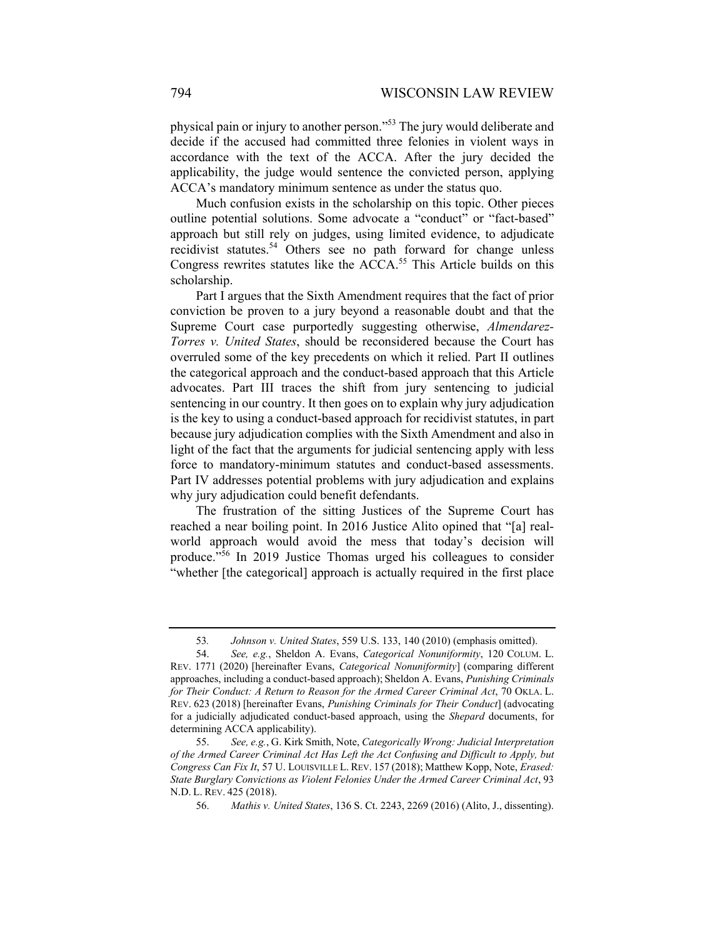physical pain or injury to another person."53 The jury would deliberate and decide if the accused had committed three felonies in violent ways in accordance with the text of the ACCA. After the jury decided the applicability, the judge would sentence the convicted person, applying ACCA's mandatory minimum sentence as under the status quo.

Much confusion exists in the scholarship on this topic. Other pieces outline potential solutions. Some advocate a "conduct" or "fact-based" approach but still rely on judges, using limited evidence, to adjudicate recidivist statutes.<sup>54</sup> Others see no path forward for change unless Congress rewrites statutes like the  $ACCA$ <sup>55</sup> This Article builds on this scholarship.

Part I argues that the Sixth Amendment requires that the fact of prior conviction be proven to a jury beyond a reasonable doubt and that the Supreme Court case purportedly suggesting otherwise, *Almendarez-Torres v. United States*, should be reconsidered because the Court has overruled some of the key precedents on which it relied. Part II outlines the categorical approach and the conduct-based approach that this Article advocates. Part III traces the shift from jury sentencing to judicial sentencing in our country. It then goes on to explain why jury adjudication is the key to using a conduct-based approach for recidivist statutes, in part because jury adjudication complies with the Sixth Amendment and also in light of the fact that the arguments for judicial sentencing apply with less force to mandatory-minimum statutes and conduct-based assessments. Part IV addresses potential problems with jury adjudication and explains why jury adjudication could benefit defendants.

The frustration of the sitting Justices of the Supreme Court has reached a near boiling point. In 2016 Justice Alito opined that "[a] realworld approach would avoid the mess that today's decision will produce."56 In 2019 Justice Thomas urged his colleagues to consider "whether [the categorical] approach is actually required in the first place

<sup>53</sup>*. Johnson v. United States*, 559 U.S. 133, 140 (2010) (emphasis omitted).

 <sup>54.</sup> *See, e.g.*, Sheldon A. Evans, *Categorical Nonuniformity*, 120 COLUM. L. REV. 1771 (2020) [hereinafter Evans, *Categorical Nonuniformity*] (comparing different approaches, including a conduct-based approach); Sheldon A. Evans, *Punishing Criminals for Their Conduct: A Return to Reason for the Armed Career Criminal Act*, 70 OKLA. L. REV. 623 (2018) [hereinafter Evans, *Punishing Criminals for Their Conduct*] (advocating for a judicially adjudicated conduct-based approach, using the *Shepard* documents, for determining ACCA applicability).

 <sup>55.</sup> *See, e.g.*, G. Kirk Smith, Note, *Categorically Wrong: Judicial Interpretation of the Armed Career Criminal Act Has Left the Act Confusing and Difficult to Apply, but Congress Can Fix It*, 57 U. LOUISVILLE L. REV. 157 (2018); Matthew Kopp, Note, *Erased: State Burglary Convictions as Violent Felonies Under the Armed Career Criminal Act*, 93 N.D. L. REV. 425 (2018).

 <sup>56.</sup> *Mathis v. United States*, 136 S. Ct. 2243, 2269 (2016) (Alito, J., dissenting).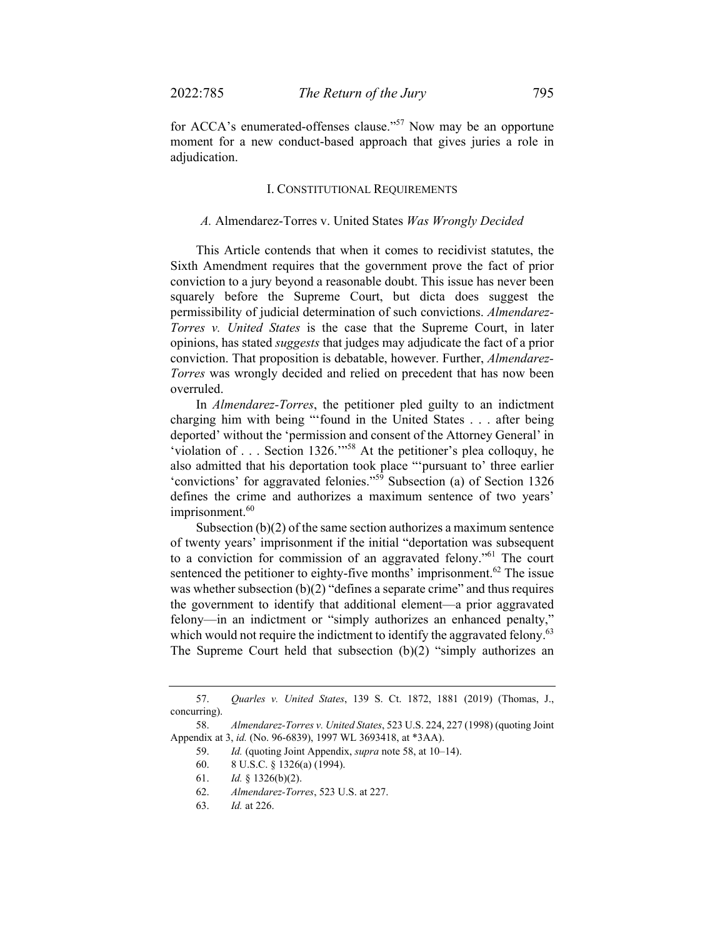for ACCA's enumerated-offenses clause."<sup>57</sup> Now may be an opportune moment for a new conduct-based approach that gives juries a role in adjudication.

#### I. CONSTITUTIONAL REQUIREMENTS

#### *A.* Almendarez-Torres v. United States *Was Wrongly Decided*

This Article contends that when it comes to recidivist statutes, the Sixth Amendment requires that the government prove the fact of prior conviction to a jury beyond a reasonable doubt. This issue has never been squarely before the Supreme Court, but dicta does suggest the permissibility of judicial determination of such convictions. *Almendarez-Torres v. United States* is the case that the Supreme Court, in later opinions, has stated *suggests* that judges may adjudicate the fact of a prior conviction. That proposition is debatable, however. Further, *Almendarez-Torres* was wrongly decided and relied on precedent that has now been overruled.

In *Almendarez-Torres*, the petitioner pled guilty to an indictment charging him with being "'found in the United States . . . after being deported' without the 'permission and consent of the Attorney General' in 'violation of . . . Section 1326.'"58 At the petitioner's plea colloquy, he also admitted that his deportation took place "'pursuant to' three earlier 'convictions' for aggravated felonies."59 Subsection (a) of Section 1326 defines the crime and authorizes a maximum sentence of two years' imprisonment.<sup>60</sup>

Subsection  $(b)(2)$  of the same section authorizes a maximum sentence of twenty years' imprisonment if the initial "deportation was subsequent to a conviction for commission of an aggravated felony."61 The court sentenced the petitioner to eighty-five months' imprisonment.<sup>62</sup> The issue was whether subsection  $(b)(2)$  "defines a separate crime" and thus requires the government to identify that additional element—a prior aggravated felony—in an indictment or "simply authorizes an enhanced penalty," which would not require the indictment to identify the aggravated felony.<sup>63</sup> The Supreme Court held that subsection (b)(2) "simply authorizes an

 <sup>57.</sup> *Quarles v. United States*, 139 S. Ct. 1872, 1881 (2019) (Thomas, J., concurring).

 <sup>58.</sup> *Almendarez-Torres v. United States*, 523 U.S. 224, 227 (1998) (quoting Joint Appendix at 3, *id.* (No. 96-6839), 1997 WL 3693418, at \*3AA).

 <sup>59.</sup> *Id.* (quoting Joint Appendix, *supra* note 58, at 10–14).

 <sup>60. 8</sup> U.S.C. § 1326(a) (1994).

 <sup>61.</sup> *Id.* § 1326(b)(2).

 <sup>62.</sup> *Almendarez-Torres*, 523 U.S. at 227.

 <sup>63.</sup> *Id.* at 226.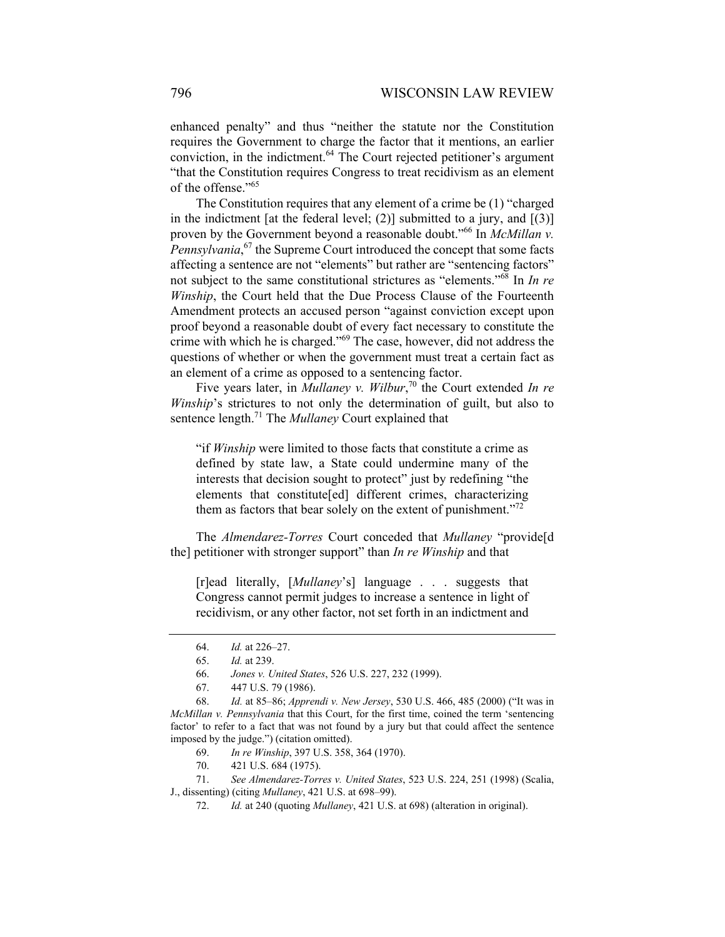enhanced penalty" and thus "neither the statute nor the Constitution requires the Government to charge the factor that it mentions, an earlier conviction, in the indictment.<sup>64</sup> The Court rejected petitioner's argument "that the Constitution requires Congress to treat recidivism as an element of the offense."<sup>65</sup>

The Constitution requires that any element of a crime be (1) "charged in the indictment [at the federal level; (2)] submitted to a jury, and  $[(3)]$ proven by the Government beyond a reasonable doubt."66 In *McMillan v.*  Pennsylvania,<sup>67</sup> the Supreme Court introduced the concept that some facts affecting a sentence are not "elements" but rather are "sentencing factors" not subject to the same constitutional strictures as "elements."68 In *In re Winship*, the Court held that the Due Process Clause of the Fourteenth Amendment protects an accused person "against conviction except upon proof beyond a reasonable doubt of every fact necessary to constitute the crime with which he is charged."69 The case, however, did not address the questions of whether or when the government must treat a certain fact as an element of a crime as opposed to a sentencing factor.

Five years later, in *Mullaney v. Wilbur*, 70 the Court extended *In re Winship*'s strictures to not only the determination of guilt, but also to sentence length.71 The *Mullaney* Court explained that

"if *Winship* were limited to those facts that constitute a crime as defined by state law, a State could undermine many of the interests that decision sought to protect" just by redefining "the elements that constitute[ed] different crimes, characterizing them as factors that bear solely on the extent of punishment."<sup>72</sup>

The *Almendarez-Torres* Court conceded that *Mullaney* "provide[d the] petitioner with stronger support" than *In re Winship* and that

[r]ead literally, [*Mullaney*'s] language . . . suggests that Congress cannot permit judges to increase a sentence in light of recidivism, or any other factor, not set forth in an indictment and

 <sup>64.</sup> *Id.* at 226–27.

 <sup>65.</sup> *Id.* at 239.

 <sup>66.</sup> *Jones v. United States*, 526 U.S. 227, 232 (1999).

 <sup>67. 447</sup> U.S. 79 (1986).

 <sup>68.</sup> *Id.* at 85–86; *Apprendi v. New Jersey*, 530 U.S. 466, 485 (2000) ("It was in *McMillan v. Pennsylvania* that this Court, for the first time, coined the term 'sentencing factor' to refer to a fact that was not found by a jury but that could affect the sentence imposed by the judge.") (citation omitted).

 <sup>69.</sup> *In re Winship*, 397 U.S. 358, 364 (1970).

 <sup>70. 421</sup> U.S. 684 (1975).

 <sup>71.</sup> *See Almendarez-Torres v. United States*, 523 U.S. 224, 251 (1998) (Scalia, J., dissenting) (citing *Mullaney*, 421 U.S. at 698–99).

 <sup>72.</sup> *Id.* at 240 (quoting *Mullaney*, 421 U.S. at 698) (alteration in original).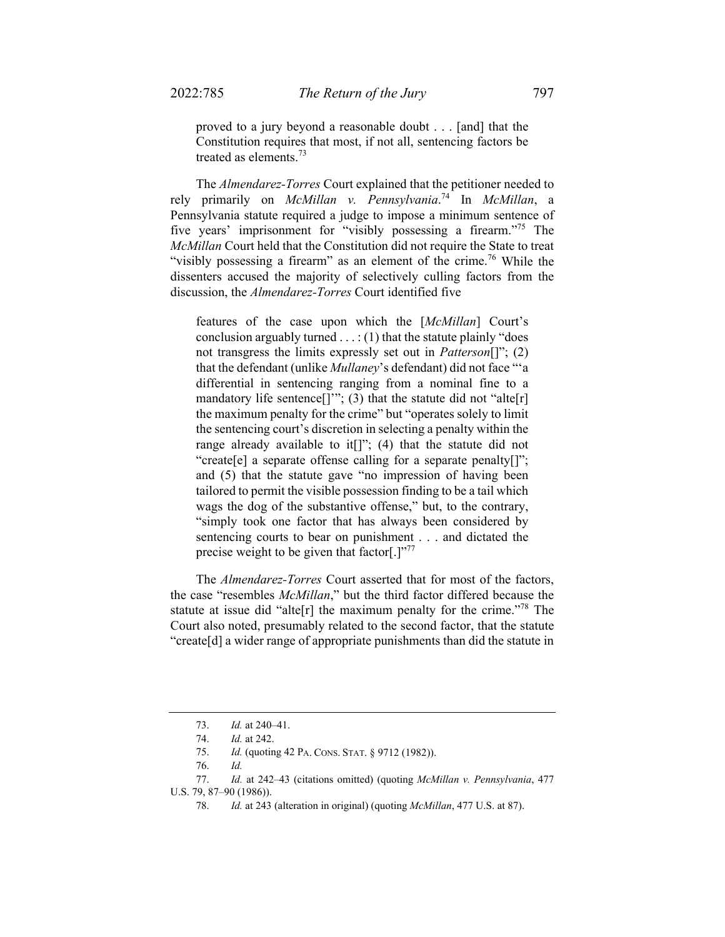proved to a jury beyond a reasonable doubt . . . [and] that the Constitution requires that most, if not all, sentencing factors be treated as elements.<sup>73</sup>

The *Almendarez-Torres* Court explained that the petitioner needed to rely primarily on *McMillan v. Pennsylvania*. 74 In *McMillan*, a Pennsylvania statute required a judge to impose a minimum sentence of five years' imprisonment for "visibly possessing a firearm."75 The *McMillan* Court held that the Constitution did not require the State to treat "visibly possessing a firearm" as an element of the crime.<sup>76</sup> While the dissenters accused the majority of selectively culling factors from the discussion, the *Almendarez-Torres* Court identified five

features of the case upon which the [*McMillan*] Court's conclusion arguably turned  $\dots$ : (1) that the statute plainly "does not transgress the limits expressly set out in *Patterson*[]"; (2) that the defendant (unlike *Mullaney*'s defendant) did not face "'a differential in sentencing ranging from a nominal fine to a mandatory life sentence[]""; (3) that the statute did not "alte[r] the maximum penalty for the crime" but "operates solely to limit the sentencing court's discretion in selecting a penalty within the range already available to it<sup>[]";</sup> (4) that the statute did not "create[e] a separate offense calling for a separate penalty[]"; and (5) that the statute gave "no impression of having been tailored to permit the visible possession finding to be a tail which wags the dog of the substantive offense," but, to the contrary, "simply took one factor that has always been considered by sentencing courts to bear on punishment . . . and dictated the precise weight to be given that factor[.]"<sup>77</sup>

The *Almendarez-Torres* Court asserted that for most of the factors, the case "resembles *McMillan*," but the third factor differed because the statute at issue did "alte<sup>[r]</sup> the maximum penalty for the crime."<sup>78</sup> The Court also noted, presumably related to the second factor, that the statute "create[d] a wider range of appropriate punishments than did the statute in

 <sup>73.</sup> *Id.* at 240–41.

 <sup>74.</sup> *Id.* at 242.

 <sup>75.</sup> *Id.* (quoting 42 PA. CONS. STAT. § 9712 (1982)).

 <sup>76.</sup> *Id.* 

 <sup>77.</sup> *Id.* at 242–43 (citations omitted) (quoting *McMillan v. Pennsylvania*, 477 U.S. 79, 87–90 (1986)).

 <sup>78.</sup> *Id.* at 243 (alteration in original) (quoting *McMillan*, 477 U.S. at 87).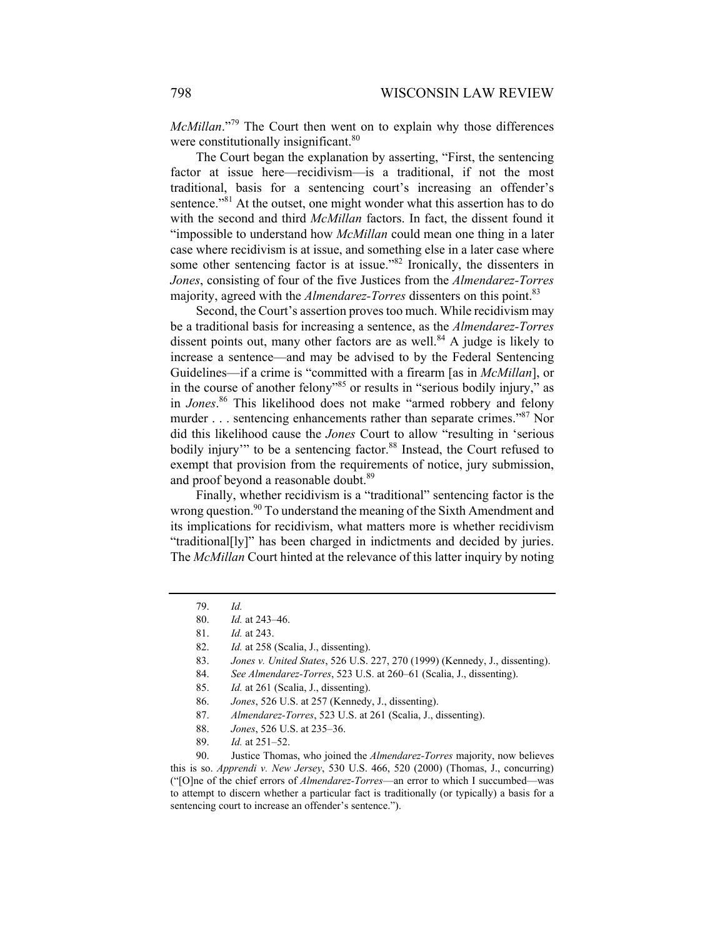*McMillan*."<sup>79</sup> The Court then went on to explain why those differences were constitutionally insignificant.<sup>80</sup>

The Court began the explanation by asserting, "First, the sentencing factor at issue here—recidivism—is a traditional, if not the most traditional, basis for a sentencing court's increasing an offender's sentence."<sup>81</sup> At the outset, one might wonder what this assertion has to do with the second and third *McMillan* factors. In fact, the dissent found it "impossible to understand how *McMillan* could mean one thing in a later case where recidivism is at issue, and something else in a later case where some other sentencing factor is at issue."<sup>82</sup> Ironically, the dissenters in *Jones*, consisting of four of the five Justices from the *Almendarez-Torres*  majority, agreed with the *Almendarez-Torres* dissenters on this point.<sup>83</sup>

Second, the Court's assertion proves too much. While recidivism may be a traditional basis for increasing a sentence, as the *Almendarez-Torres*  dissent points out, many other factors are as well.<sup>84</sup> A judge is likely to increase a sentence—and may be advised to by the Federal Sentencing Guidelines—if a crime is "committed with a firearm [as in *McMillan*], or in the course of another felony"<sup>85</sup> or results in "serious bodily injury," as in *Jones*. 86 This likelihood does not make "armed robbery and felony murder . . . sentencing enhancements rather than separate crimes."<sup>87</sup> Nor did this likelihood cause the *Jones* Court to allow "resulting in 'serious bodily injury" to be a sentencing factor.<sup>88</sup> Instead, the Court refused to exempt that provision from the requirements of notice, jury submission, and proof beyond a reasonable doubt.<sup>89</sup>

Finally, whether recidivism is a "traditional" sentencing factor is the wrong question.<sup>90</sup> To understand the meaning of the Sixth Amendment and its implications for recidivism, what matters more is whether recidivism "traditional[ly]" has been charged in indictments and decided by juries. The *McMillan* Court hinted at the relevance of this latter inquiry by noting

84. *See Almendarez-Torres*, 523 U.S. at 260–61 (Scalia, J., dissenting).

- 88. *Jones*, 526 U.S. at 235–36.
- 89. *Id.* at 251–52.

 <sup>79.</sup> *Id.* 

 <sup>80.</sup> *Id.* at 243–46.

 <sup>81.</sup> *Id.* at 243.

 <sup>82.</sup> *Id.* at 258 (Scalia, J., dissenting).

 <sup>83.</sup> *Jones v. United States*, 526 U.S. 227, 270 (1999) (Kennedy, J., dissenting).

 <sup>85.</sup> *Id.* at 261 (Scalia, J., dissenting).

 <sup>86.</sup> *Jones*, 526 U.S. at 257 (Kennedy, J., dissenting).

 <sup>87.</sup> *Almendarez-Torres*, 523 U.S. at 261 (Scalia, J., dissenting).

 <sup>90.</sup> Justice Thomas, who joined the *Almendarez-Torres* majority, now believes this is so. *Apprendi v. New Jersey*, 530 U.S. 466, 520 (2000) (Thomas, J., concurring) ("[O]ne of the chief errors of *Almendarez-Torres*—an error to which I succumbed—was to attempt to discern whether a particular fact is traditionally (or typically) a basis for a sentencing court to increase an offender's sentence.").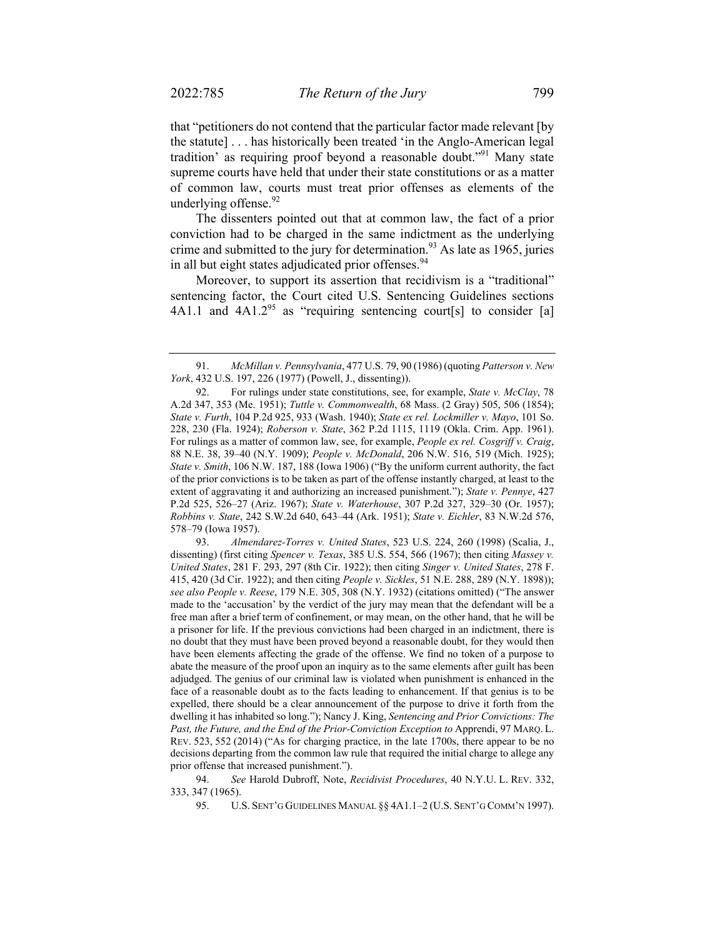that "petitioners do not contend that the particular factor made relevant [by the statute] . . . has historically been treated 'in the Anglo-American legal tradition' as requiring proof beyond a reasonable doubt."91 Many state supreme courts have held that under their state constitutions or as a matter of common law, courts must treat prior offenses as elements of the underlying offense.<sup>92</sup>

The dissenters pointed out that at common law, the fact of a prior conviction had to be charged in the same indictment as the underlying crime and submitted to the jury for determination.<sup>93</sup> As late as 1965, juries in all but eight states adjudicated prior offenses.<sup>94</sup>

Moreover, to support its assertion that recidivism is a "traditional" sentencing factor, the Court cited U.S. Sentencing Guidelines sections 4A1.1 and  $4A1.2<sup>95</sup>$  as "requiring sentencing court[s] to consider [a]

 93. *Almendarez-Torres v. United States*, 523 U.S. 224, 260 (1998) (Scalia, J., dissenting) (first citing *Spencer v. Texas*, 385 U.S. 554, 566 (1967); then citing *Massey v. United States*, 281 F. 293, 297 (8th Cir. 1922); then citing *Singer v. United States*, 278 F. 415, 420 (3d Cir. 1922); and then citing *People v. Sickles*, 51 N.E. 288, 289 (N.Y. 1898)); *see also People v. Reese*, 179 N.E. 305, 308 (N.Y. 1932) (citations omitted) ("The answer made to the 'accusation' by the verdict of the jury may mean that the defendant will be a free man after a brief term of confinement, or may mean, on the other hand, that he will be a prisoner for life. If the previous convictions had been charged in an indictment, there is no doubt that they must have been proved beyond a reasonable doubt, for they would then have been elements affecting the grade of the offense. We find no token of a purpose to abate the measure of the proof upon an inquiry as to the same elements after guilt has been adjudged. The genius of our criminal law is violated when punishment is enhanced in the face of a reasonable doubt as to the facts leading to enhancement. If that genius is to be expelled, there should be a clear announcement of the purpose to drive it forth from the dwelling it has inhabited so long."); Nancy J. King, *Sentencing and Prior Convictions: The*  Past, the Future, and the End of the Prior-Conviction Exception to Apprendi, 97 MARQ. L. REV. 523, 552 (2014) ("As for charging practice, in the late 1700s, there appear to be no decisions departing from the common law rule that required the initial charge to allege any prior offense that increased punishment.").

 94. *See* Harold Dubroff, Note, *Recidivist Procedures*, 40 N.Y.U. L. REV. 332, 333, 347 (1965).

95. U.S. SENT'G GUIDELINES MANUAL §§ 4A1.1–2 (U.S. SENT'G COMM'N 1997).

 <sup>91.</sup> *McMillan v. Pennsylvania*, 477 U.S. 79, 90 (1986) (quoting *Patterson v. New York*, 432 U.S. 197, 226 (1977) (Powell, J., dissenting)).

 <sup>92.</sup> For rulings under state constitutions, see, for example, *State v. McClay*, 78 A.2d 347, 353 (Me. 1951); *Tuttle v. Commonwealth*, 68 Mass. (2 Gray) 505, 506 (1854); *State v. Furth*, 104 P.2d 925, 933 (Wash. 1940); *State ex rel. Lockmiller v. Mayo*, 101 So. 228, 230 (Fla. 1924); *Roberson v. State*, 362 P.2d 1115, 1119 (Okla. Crim. App. 1961). For rulings as a matter of common law, see, for example, *People ex rel. Cosgriff v. Craig*, 88 N.E. 38, 39–40 (N.Y. 1909); *People v. McDonald*, 206 N.W. 516, 519 (Mich. 1925); *State v. Smith*, 106 N.W. 187, 188 (Iowa 1906) ("By the uniform current authority, the fact of the prior convictions is to be taken as part of the offense instantly charged, at least to the extent of aggravating it and authorizing an increased punishment."); *State v. Pennye*, 427 P.2d 525, 526–27 (Ariz. 1967); *State v. Waterhouse*, 307 P.2d 327, 329–30 (Or. 1957); *Robbins v. State*, 242 S.W.2d 640, 643–44 (Ark. 1951); *State v. Eichler*, 83 N.W.2d 576, 578–79 (Iowa 1957).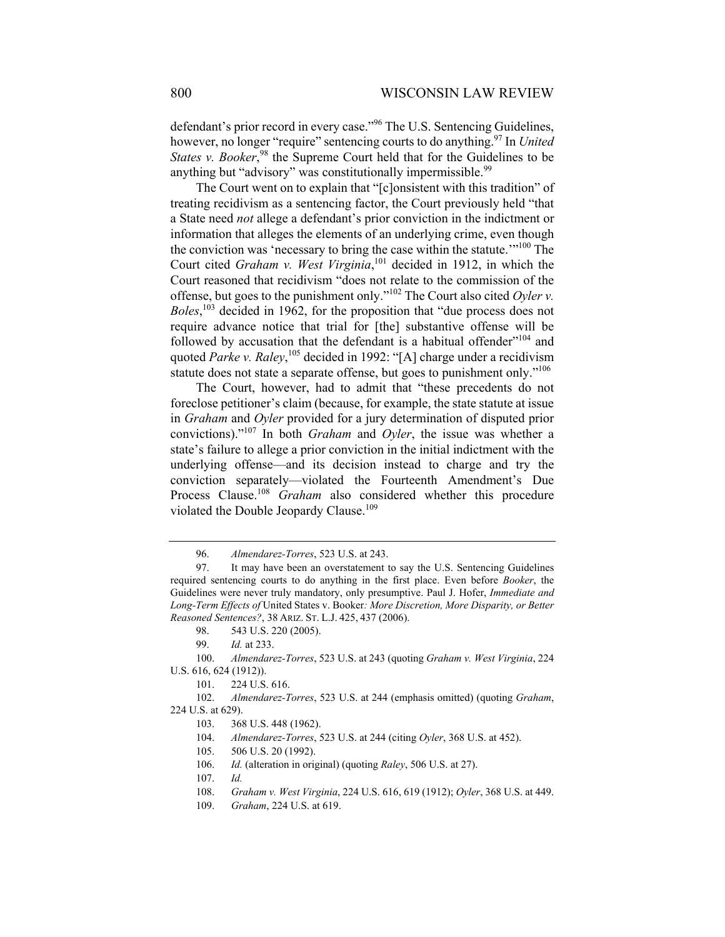defendant's prior record in every case."<sup>96</sup> The U.S. Sentencing Guidelines, however, no longer "require" sentencing courts to do anything.97 In *United*  States v. Booker,<sup>98</sup> the Supreme Court held that for the Guidelines to be anything but "advisory" was constitutionally impermissible.<sup>99</sup>

The Court went on to explain that "[c]onsistent with this tradition" of treating recidivism as a sentencing factor, the Court previously held "that a State need *not* allege a defendant's prior conviction in the indictment or information that alleges the elements of an underlying crime, even though the conviction was 'necessary to bring the case within the statute.'"100 The Court cited *Graham v. West Virginia*,<sup>101</sup> decided in 1912, in which the Court reasoned that recidivism "does not relate to the commission of the offense, but goes to the punishment only."102 The Court also cited *Oyler v. Boles*, 103 decided in 1962, for the proposition that "due process does not require advance notice that trial for [the] substantive offense will be followed by accusation that the defendant is a habitual offender"<sup>104</sup> and quoted *Parke v. Raley*, 105 decided in 1992: "[A] charge under a recidivism statute does not state a separate offense, but goes to punishment only."<sup>106</sup>

The Court, however, had to admit that "these precedents do not foreclose petitioner's claim (because, for example, the state statute at issue in *Graham* and *Oyler* provided for a jury determination of disputed prior convictions)."107 In both *Graham* and *Oyler*, the issue was whether a state's failure to allege a prior conviction in the initial indictment with the underlying offense—and its decision instead to charge and try the conviction separately—violated the Fourteenth Amendment's Due Process Clause.<sup>108</sup> *Graham* also considered whether this procedure violated the Double Jeopardy Clause.<sup>109</sup>

 <sup>96.</sup> *Almendarez-Torres*, 523 U.S. at 243.

 <sup>97.</sup> It may have been an overstatement to say the U.S. Sentencing Guidelines required sentencing courts to do anything in the first place. Even before *Booker*, the Guidelines were never truly mandatory, only presumptive. Paul J. Hofer, *Immediate and Long-Term Effects of* United States v. Booker*: More Discretion, More Disparity, or Better Reasoned Sentences?*, 38 ARIZ. ST. L.J. 425, 437 (2006).

 <sup>98. 543</sup> U.S. 220 (2005).

 <sup>99.</sup> *Id.* at 233.

 <sup>100.</sup> *Almendarez-Torres*, 523 U.S. at 243 (quoting *Graham v. West Virginia*, 224 U.S. 616, 624 (1912)).

 <sup>101. 224</sup> U.S. 616.

 <sup>102.</sup> *Almendarez-Torres*, 523 U.S. at 244 (emphasis omitted) (quoting *Graham*, 224 U.S. at 629).

 <sup>103. 368</sup> U.S. 448 (1962).

<sup>104.</sup> *Almendarez-Torres*, 523 U.S. at 244 (citing *Oyler*, 368 U.S. at 452).

 <sup>105. 506</sup> U.S. 20 (1992).

 <sup>106.</sup> *Id.* (alteration in original) (quoting *Raley*, 506 U.S. at 27).

 <sup>107.</sup> *Id.*

 <sup>108.</sup> *Graham v. West Virginia*, 224 U.S. 616, 619 (1912); *Oyler*, 368 U.S. at 449.

 <sup>109.</sup> *Graham*, 224 U.S. at 619.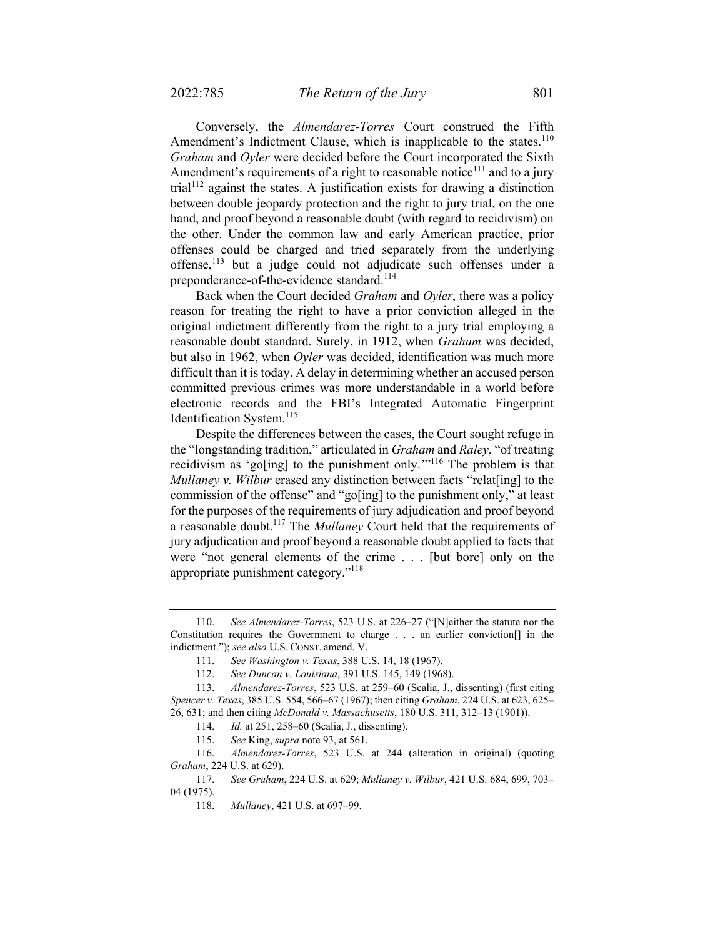Conversely, the *Almendarez-Torres* Court construed the Fifth Amendment's Indictment Clause, which is inapplicable to the states.<sup>110</sup> *Graham* and *Oyler* were decided before the Court incorporated the Sixth Amendment's requirements of a right to reasonable notice<sup>111</sup> and to a jury trial<sup>112</sup> against the states. A justification exists for drawing a distinction between double jeopardy protection and the right to jury trial, on the one hand, and proof beyond a reasonable doubt (with regard to recidivism) on the other. Under the common law and early American practice, prior offenses could be charged and tried separately from the underlying offense,<sup>113</sup> but a judge could not adjudicate such offenses under a preponderance-of-the-evidence standard.<sup>114</sup>

Back when the Court decided *Graham* and *Oyler*, there was a policy reason for treating the right to have a prior conviction alleged in the original indictment differently from the right to a jury trial employing a reasonable doubt standard. Surely, in 1912, when *Graham* was decided, but also in 1962, when *Oyler* was decided, identification was much more difficult than it is today. A delay in determining whether an accused person committed previous crimes was more understandable in a world before electronic records and the FBI's Integrated Automatic Fingerprint Identification System.<sup>115</sup>

Despite the differences between the cases, the Court sought refuge in the "longstanding tradition," articulated in *Graham* and *Raley*, "of treating recidivism as 'go[ing] to the punishment only.'"116 The problem is that *Mullaney v. Wilbur* erased any distinction between facts "relat[ing] to the commission of the offense" and "go[ing] to the punishment only," at least for the purposes of the requirements of jury adjudication and proof beyond a reasonable doubt.117 The *Mullaney* Court held that the requirements of jury adjudication and proof beyond a reasonable doubt applied to facts that were "not general elements of the crime . . . [but bore] only on the appropriate punishment category."118

 <sup>110.</sup> *See Almendarez-Torres*, 523 U.S. at 226–27 ("[N]either the statute nor the Constitution requires the Government to charge . . . an earlier conviction[] in the indictment."); *see also* U.S. CONST. amend. V.

 <sup>111.</sup> *See Washington v. Texas*, 388 U.S. 14, 18 (1967).

 <sup>112.</sup> *See Duncan v. Louisiana*, 391 U.S. 145, 149 (1968).

 <sup>113.</sup> *Almendarez-Torres*, 523 U.S. at 259–60 (Scalia, J., dissenting) (first citing *Spencer v. Texas*, 385 U.S. 554, 566–67 (1967); then citing *Graham*, 224 U.S. at 623, 625– 26, 631; and then citing *McDonald v. Massachusetts*, 180 U.S. 311, 312–13 (1901)).

 <sup>114.</sup> *Id.* at 251, 258–60 (Scalia, J., dissenting).

 <sup>115.</sup> *See* King, *supra* note 93, at 561.

 <sup>116.</sup> *Almendarez-Torres*, 523 U.S. at 244 (alteration in original) (quoting *Graham*, 224 U.S. at 629).

 <sup>117.</sup> *See Graham*, 224 U.S. at 629; *Mullaney v. Wilbur*, 421 U.S. 684, 699, 703– 04 (1975).

 <sup>118.</sup> *Mullaney*, 421 U.S. at 697–99.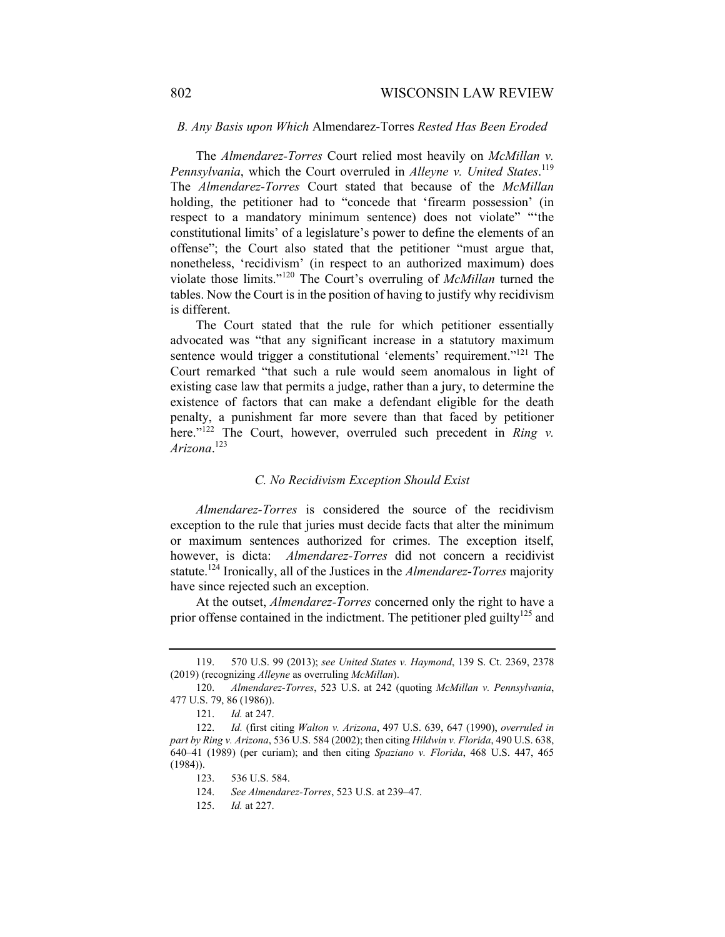### *B. Any Basis upon Which* Almendarez-Torres *Rested Has Been Eroded*

The *Almendarez-Torres* Court relied most heavily on *McMillan v. Pennsylvania*, which the Court overruled in *Alleyne v. United States*. 119 The *Almendarez-Torres* Court stated that because of the *McMillan* holding, the petitioner had to "concede that 'firearm possession' (in respect to a mandatory minimum sentence) does not violate" "the constitutional limits' of a legislature's power to define the elements of an offense"; the Court also stated that the petitioner "must argue that, nonetheless, 'recidivism' (in respect to an authorized maximum) does violate those limits."120 The Court's overruling of *McMillan* turned the tables. Now the Court is in the position of having to justify why recidivism is different.

The Court stated that the rule for which petitioner essentially advocated was "that any significant increase in a statutory maximum sentence would trigger a constitutional 'elements' requirement."<sup>121</sup> The Court remarked "that such a rule would seem anomalous in light of existing case law that permits a judge, rather than a jury, to determine the existence of factors that can make a defendant eligible for the death penalty, a punishment far more severe than that faced by petitioner here."<sup>122</sup> The Court, however, overruled such precedent in *Ring v. Arizona*. 123

## *C. No Recidivism Exception Should Exist*

*Almendarez-Torres* is considered the source of the recidivism exception to the rule that juries must decide facts that alter the minimum or maximum sentences authorized for crimes. The exception itself, however, is dicta: *Almendarez-Torres* did not concern a recidivist statute.124 Ironically, all of the Justices in the *Almendarez-Torres* majority have since rejected such an exception.

At the outset, *Almendarez-Torres* concerned only the right to have a prior offense contained in the indictment. The petitioner pled guilty<sup>125</sup> and

 <sup>119. 570</sup> U.S. 99 (2013); *see United States v. Haymond*, 139 S. Ct. 2369, 2378 (2019) (recognizing *Alleyne* as overruling *McMillan*).

 <sup>120.</sup> *Almendarez-Torres*, 523 U.S. at 242 (quoting *McMillan v. Pennsylvania*, 477 U.S. 79, 86 (1986)).

 <sup>121.</sup> *Id.* at 247.

 <sup>122.</sup> *Id.* (first citing *Walton v. Arizona*, 497 U.S. 639, 647 (1990), *overruled in part by Ring v. Arizona*, 536 U.S. 584 (2002); then citing *Hildwin v. Florida*, 490 U.S. 638, 640–41 (1989) (per curiam); and then citing *Spaziano v. Florida*, 468 U.S. 447, 465  $(1984)$ ).

 <sup>123. 536</sup> U.S. 584.

 <sup>124.</sup> *See Almendarez-Torres*, 523 U.S. at 239–47.

 <sup>125.</sup> *Id.* at 227.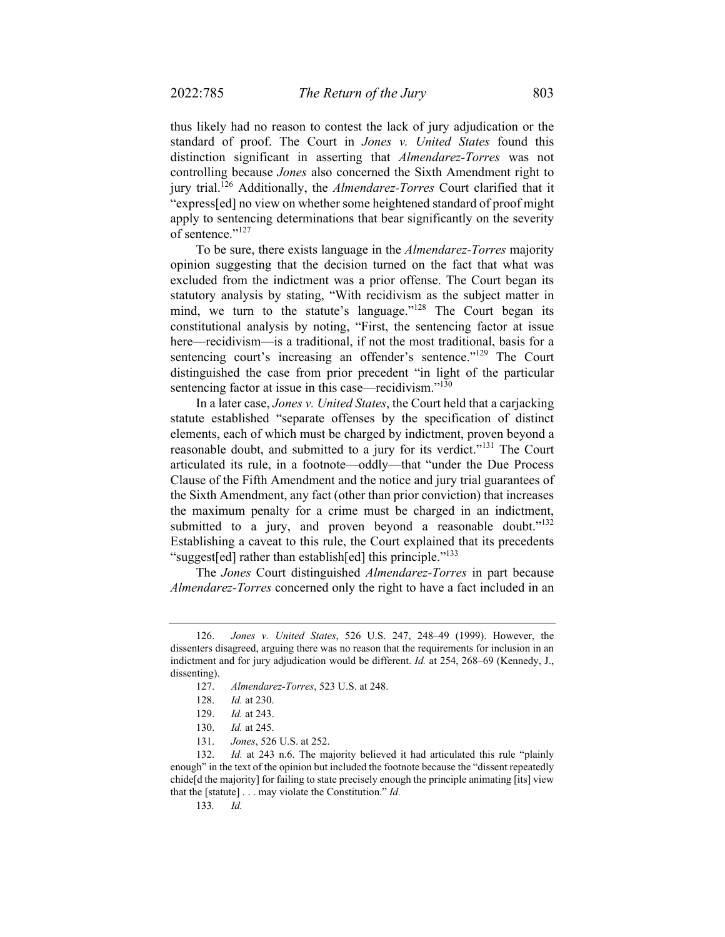thus likely had no reason to contest the lack of jury adjudication or the standard of proof. The Court in *Jones v. United States* found this distinction significant in asserting that *Almendarez-Torres* was not controlling because *Jones* also concerned the Sixth Amendment right to jury trial.126 Additionally, the *Almendarez-Torres* Court clarified that it "express[ed] no view on whether some heightened standard of proof might apply to sentencing determinations that bear significantly on the severity of sentence."<sup>127</sup>

To be sure, there exists language in the *Almendarez-Torres* majority opinion suggesting that the decision turned on the fact that what was excluded from the indictment was a prior offense. The Court began its statutory analysis by stating, "With recidivism as the subject matter in mind, we turn to the statute's language."<sup>128</sup> The Court began its constitutional analysis by noting, "First, the sentencing factor at issue here—recidivism—is a traditional, if not the most traditional, basis for a sentencing court's increasing an offender's sentence."<sup>129</sup> The Court distinguished the case from prior precedent "in light of the particular sentencing factor at issue in this case—recidivism."<sup>130</sup>

In a later case, *Jones v. United States*, the Court held that a carjacking statute established "separate offenses by the specification of distinct elements, each of which must be charged by indictment, proven beyond a reasonable doubt, and submitted to a jury for its verdict."131 The Court articulated its rule, in a footnote—oddly—that "under the Due Process Clause of the Fifth Amendment and the notice and jury trial guarantees of the Sixth Amendment, any fact (other than prior conviction) that increases the maximum penalty for a crime must be charged in an indictment, submitted to a jury, and proven beyond a reasonable doubt."<sup>132</sup> Establishing a caveat to this rule, the Court explained that its precedents "suggest[ed] rather than establish[ed] this principle."<sup>133</sup>

The *Jones* Court distinguished *Almendarez-Torres* in part because *Almendarez-Torres* concerned only the right to have a fact included in an

 <sup>126.</sup> *Jones v. United States*, 526 U.S. 247, 248–49 (1999). However, the dissenters disagreed, arguing there was no reason that the requirements for inclusion in an indictment and for jury adjudication would be different. *Id.* at 254, 268–69 (Kennedy, J., dissenting).

 <sup>127.</sup> *Almendarez-Torres*, 523 U.S. at 248.

 <sup>128.</sup> *Id.* at 230.

 <sup>129.</sup> *Id.* at 243.

 <sup>130.</sup> *Id.* at 245.

 <sup>131.</sup> *Jones*, 526 U.S. at 252.

 <sup>132.</sup> *Id.* at 243 n.6. The majority believed it had articulated this rule "plainly enough" in the text of the opinion but included the footnote because the "dissent repeatedly chide[d the majority] for failing to state precisely enough the principle animating [its] view that the [statute] . . . may violate the Constitution." *Id.*

<sup>133</sup>*. Id.*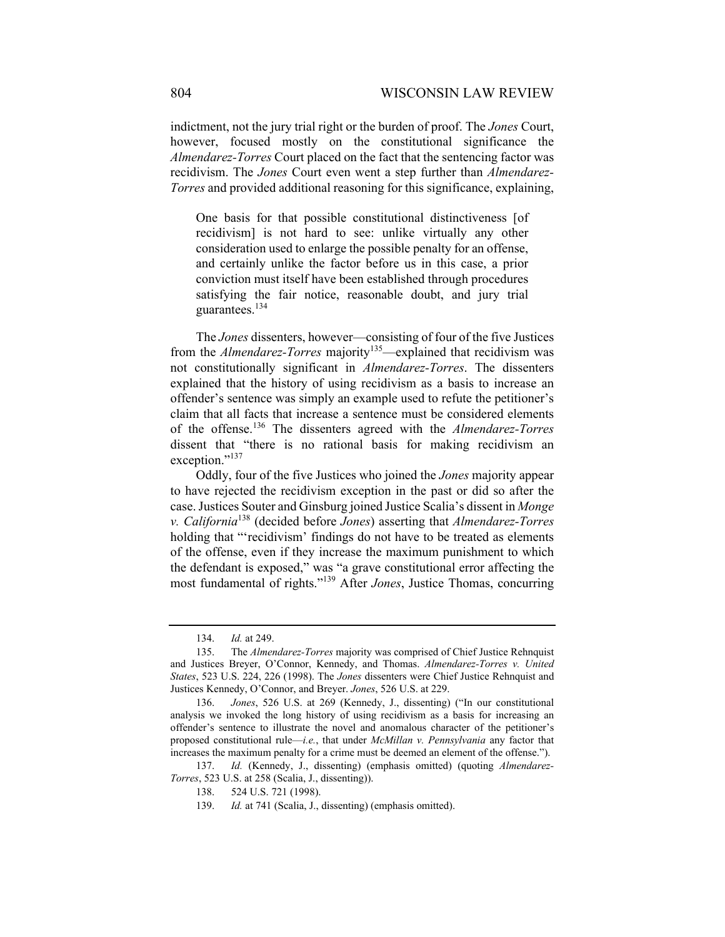indictment, not the jury trial right or the burden of proof. The *Jones* Court, however, focused mostly on the constitutional significance the *Almendarez-Torres* Court placed on the fact that the sentencing factor was recidivism. The *Jones* Court even went a step further than *Almendarez-Torres* and provided additional reasoning for this significance, explaining,

One basis for that possible constitutional distinctiveness [of recidivism] is not hard to see: unlike virtually any other consideration used to enlarge the possible penalty for an offense, and certainly unlike the factor before us in this case, a prior conviction must itself have been established through procedures satisfying the fair notice, reasonable doubt, and jury trial guarantees.<sup>134</sup>

The *Jones* dissenters, however—consisting of four of the five Justices from the *Almendarez-Torres* majority<sup>135</sup>—explained that recidivism was not constitutionally significant in *Almendarez-Torres*. The dissenters explained that the history of using recidivism as a basis to increase an offender's sentence was simply an example used to refute the petitioner's claim that all facts that increase a sentence must be considered elements of the offense.136 The dissenters agreed with the *Almendarez-Torres* dissent that "there is no rational basis for making recidivism an exception."<sup>137</sup>

Oddly, four of the five Justices who joined the *Jones* majority appear to have rejected the recidivism exception in the past or did so after the case. Justices Souter and Ginsburg joined Justice Scalia's dissent in *Monge v. California*<sup>138</sup> (decided before *Jones*) asserting that *Almendarez-Torres* holding that "'recidivism' findings do not have to be treated as elements of the offense, even if they increase the maximum punishment to which the defendant is exposed," was "a grave constitutional error affecting the most fundamental of rights."139 After *Jones*, Justice Thomas, concurring

 <sup>134.</sup> *Id.* at 249.

 <sup>135.</sup> The *Almendarez-Torres* majority was comprised of Chief Justice Rehnquist and Justices Breyer, O'Connor, Kennedy, and Thomas. *Almendarez-Torres v. United States*, 523 U.S. 224, 226 (1998). The *Jones* dissenters were Chief Justice Rehnquist and Justices Kennedy, O'Connor, and Breyer. *Jones*, 526 U.S. at 229.

 <sup>136.</sup> *Jones*, 526 U.S. at 269 (Kennedy, J., dissenting) ("In our constitutional analysis we invoked the long history of using recidivism as a basis for increasing an offender's sentence to illustrate the novel and anomalous character of the petitioner's proposed constitutional rule—*i.e.*, that under *McMillan v. Pennsylvania* any factor that increases the maximum penalty for a crime must be deemed an element of the offense.").

 <sup>137.</sup> *Id.* (Kennedy, J., dissenting) (emphasis omitted) (quoting *Almendarez-Torres*, 523 U.S. at 258 (Scalia, J., dissenting)).

 <sup>138. 524</sup> U.S. 721 (1998).

 <sup>139.</sup> *Id.* at 741 (Scalia, J., dissenting) (emphasis omitted).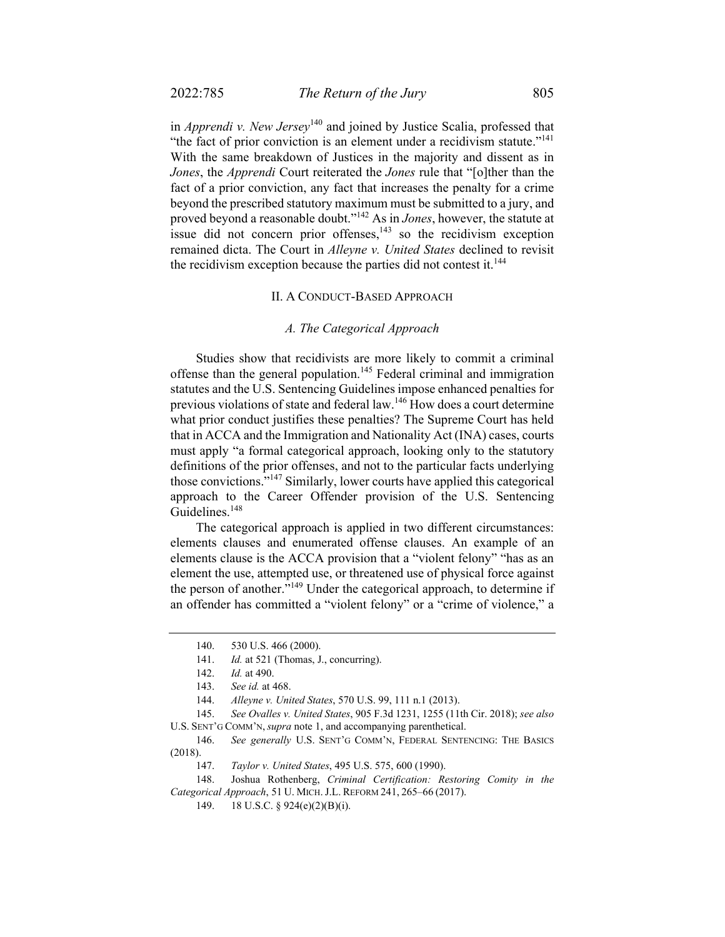in *Apprendi v. New Jersey*140 and joined by Justice Scalia, professed that "the fact of prior conviction is an element under a recidivism statute."<sup>141</sup> With the same breakdown of Justices in the majority and dissent as in *Jones*, the *Apprendi* Court reiterated the *Jones* rule that "[o]ther than the fact of a prior conviction, any fact that increases the penalty for a crime beyond the prescribed statutory maximum must be submitted to a jury, and proved beyond a reasonable doubt."142 As in *Jones*, however, the statute at issue did not concern prior offenses, $143$  so the recidivism exception remained dicta. The Court in *Alleyne v. United States* declined to revisit the recidivism exception because the parties did not contest it.<sup>144</sup>

#### II. A CONDUCT-BASED APPROACH

#### *A. The Categorical Approach*

Studies show that recidivists are more likely to commit a criminal offense than the general population.<sup>145</sup> Federal criminal and immigration statutes and the U.S. Sentencing Guidelines impose enhanced penalties for previous violations of state and federal law.<sup>146</sup> How does a court determine what prior conduct justifies these penalties? The Supreme Court has held that in ACCA and the Immigration and Nationality Act (INA) cases, courts must apply "a formal categorical approach, looking only to the statutory definitions of the prior offenses, and not to the particular facts underlying those convictions.<sup>5,147</sup> Similarly, lower courts have applied this categorical approach to the Career Offender provision of the U.S. Sentencing Guidelines.<sup>148</sup>

The categorical approach is applied in two different circumstances: elements clauses and enumerated offense clauses. An example of an elements clause is the ACCA provision that a "violent felony" "has as an element the use, attempted use, or threatened use of physical force against the person of another."<sup>149</sup> Under the categorical approach, to determine if an offender has committed a "violent felony" or a "crime of violence," a

 <sup>140. 530</sup> U.S. 466 (2000).

 <sup>141.</sup> *Id.* at 521 (Thomas, J., concurring).

<sup>142.</sup> *Id.* at 490.

 <sup>143.</sup> *See id.* at 468.

 <sup>144.</sup> *Alleyne v. United States*, 570 U.S. 99, 111 n.1 (2013).

 <sup>145.</sup> *See Ovalles v. United States*, 905 F.3d 1231, 1255 (11th Cir. 2018); *see also*  U.S. SENT'G COMM'N, *supra* note 1, and accompanying parenthetical.

 <sup>146.</sup> *See generally* U.S. SENT'G COMM'N, FEDERAL SENTENCING: THE BASICS (2018).

 <sup>147.</sup> *Taylor v. United States*, 495 U.S. 575, 600 (1990).

 <sup>148.</sup> Joshua Rothenberg, *Criminal Certification: Restoring Comity in the Categorical Approach*, 51 U. MICH. J.L. REFORM 241, 265–66 (2017).

 <sup>149. 18</sup> U.S.C. § 924(e)(2)(B)(i).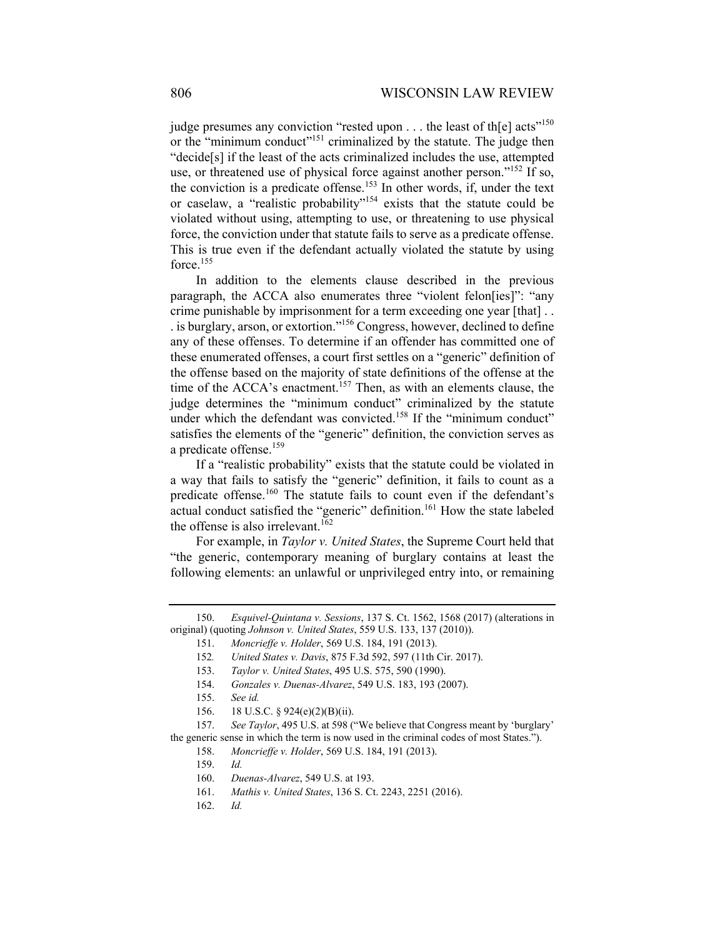judge presumes any conviction "rested upon . . . the least of th[e] acts"<sup>150</sup> or the "minimum conduct"<sup>151</sup> criminalized by the statute. The judge then "decide[s] if the least of the acts criminalized includes the use, attempted use, or threatened use of physical force against another person."<sup>152</sup> If so, the conviction is a predicate offense.<sup>153</sup> In other words, if, under the text or caselaw, a "realistic probability"154 exists that the statute could be violated without using, attempting to use, or threatening to use physical force, the conviction under that statute fails to serve as a predicate offense. This is true even if the defendant actually violated the statute by using force.<sup>155</sup>

In addition to the elements clause described in the previous paragraph, the ACCA also enumerates three "violent felon[ies]": "any crime punishable by imprisonment for a term exceeding one year [that] . . . is burglary, arson, or extortion."156 Congress, however, declined to define any of these offenses. To determine if an offender has committed one of these enumerated offenses, a court first settles on a "generic" definition of the offense based on the majority of state definitions of the offense at the time of the ACCA's enactment.<sup>157</sup> Then, as with an elements clause, the judge determines the "minimum conduct" criminalized by the statute under which the defendant was convicted.<sup>158</sup> If the "minimum conduct" satisfies the elements of the "generic" definition, the conviction serves as a predicate offense.<sup>159</sup>

If a "realistic probability" exists that the statute could be violated in a way that fails to satisfy the "generic" definition, it fails to count as a predicate offense.<sup>160</sup> The statute fails to count even if the defendant's actual conduct satisfied the "generic" definition.<sup>161</sup> How the state labeled the offense is also irrelevant.<sup>162</sup>

For example, in *Taylor v. United States*, the Supreme Court held that "the generic, contemporary meaning of burglary contains at least the following elements: an unlawful or unprivileged entry into, or remaining

 <sup>150.</sup> *Esquivel-Quintana v. Sessions*, 137 S. Ct. 1562, 1568 (2017) (alterations in original) (quoting *Johnson v. United States*, 559 U.S. 133, 137 (2010)).

 <sup>151.</sup> *Moncrieffe v. Holder*, 569 U.S. 184, 191 (2013).

<sup>152</sup>*. United States v. Davis*, 875 F.3d 592, 597 (11th Cir. 2017).

 <sup>153.</sup> *Taylor v. United States*, 495 U.S. 575, 590 (1990).

 <sup>154.</sup> *Gonzales v. Duenas-Alvarez*, 549 U.S. 183, 193 (2007).

 <sup>155.</sup> *See id.* 

 <sup>156. 18</sup> U.S.C. § 924(e)(2)(B)(ii).

 <sup>157.</sup> *See Taylor*, 495 U.S. at 598 ("We believe that Congress meant by 'burglary' the generic sense in which the term is now used in the criminal codes of most States.").

 <sup>158.</sup> *Moncrieffe v. Holder*, 569 U.S. 184, 191 (2013).

 <sup>159.</sup> *Id.* 

 <sup>160.</sup> *Duenas-Alvarez*, 549 U.S. at 193.

 <sup>161.</sup> *Mathis v. United States*, 136 S. Ct. 2243, 2251 (2016).

 <sup>162.</sup> *Id.*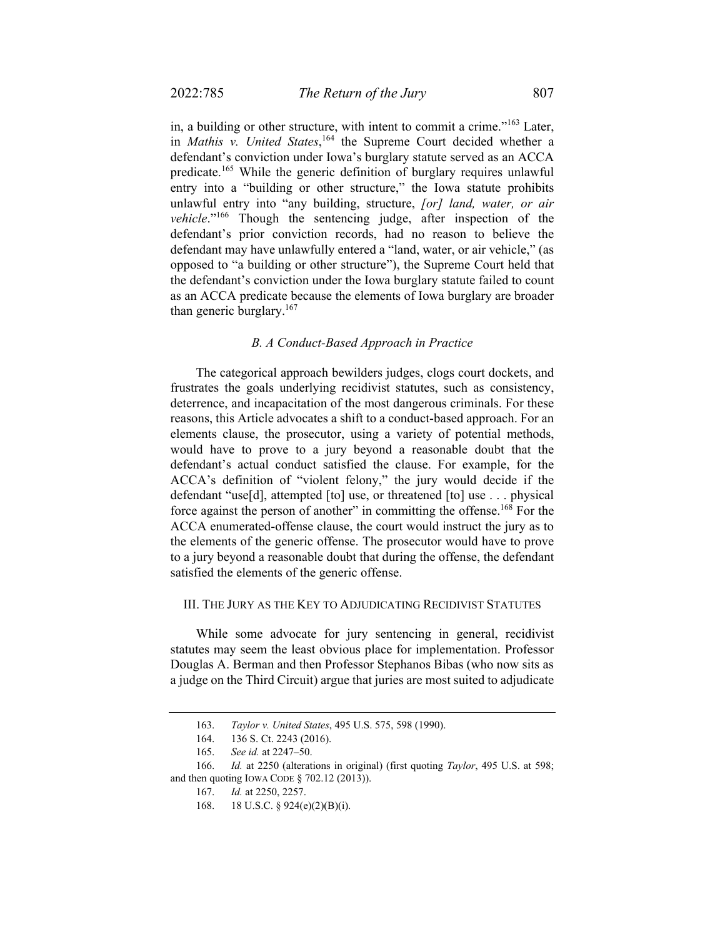in, a building or other structure, with intent to commit a crime."163 Later, in *Mathis v. United States*, 164 the Supreme Court decided whether a defendant's conviction under Iowa's burglary statute served as an ACCA predicate.<sup>165</sup> While the generic definition of burglary requires unlawful entry into a "building or other structure," the Iowa statute prohibits unlawful entry into "any building, structure, *[or] land, water, or air vehicle*."166 Though the sentencing judge, after inspection of the defendant's prior conviction records, had no reason to believe the defendant may have unlawfully entered a "land, water, or air vehicle," (as opposed to "a building or other structure"), the Supreme Court held that the defendant's conviction under the Iowa burglary statute failed to count as an ACCA predicate because the elements of Iowa burglary are broader than generic burglary.<sup>167</sup>

#### *B. A Conduct-Based Approach in Practice*

The categorical approach bewilders judges, clogs court dockets, and frustrates the goals underlying recidivist statutes, such as consistency, deterrence, and incapacitation of the most dangerous criminals. For these reasons, this Article advocates a shift to a conduct-based approach. For an elements clause, the prosecutor, using a variety of potential methods, would have to prove to a jury beyond a reasonable doubt that the defendant's actual conduct satisfied the clause. For example, for the ACCA's definition of "violent felony," the jury would decide if the defendant "use[d], attempted [to] use, or threatened [to] use . . . physical force against the person of another" in committing the offense.<sup>168</sup> For the ACCA enumerated-offense clause, the court would instruct the jury as to the elements of the generic offense. The prosecutor would have to prove to a jury beyond a reasonable doubt that during the offense, the defendant satisfied the elements of the generic offense.

### III. THE JURY AS THE KEY TO ADJUDICATING RECIDIVIST STATUTES

While some advocate for jury sentencing in general, recidivist statutes may seem the least obvious place for implementation. Professor Douglas A. Berman and then Professor Stephanos Bibas (who now sits as a judge on the Third Circuit) argue that juries are most suited to adjudicate

 <sup>163.</sup> *Taylor v. United States*, 495 U.S. 575, 598 (1990).

 <sup>164. 136</sup> S. Ct. 2243 (2016).

 <sup>165.</sup> *See id.* at 2247–50.

 <sup>166.</sup> *Id.* at 2250 (alterations in original) (first quoting *Taylor*, 495 U.S. at 598; and then quoting IOWA CODE § 702.12 (2013)).

 <sup>167.</sup> *Id.* at 2250, 2257.

<sup>168. 18</sup> U.S.C. § 924(e)(2)(B)(i).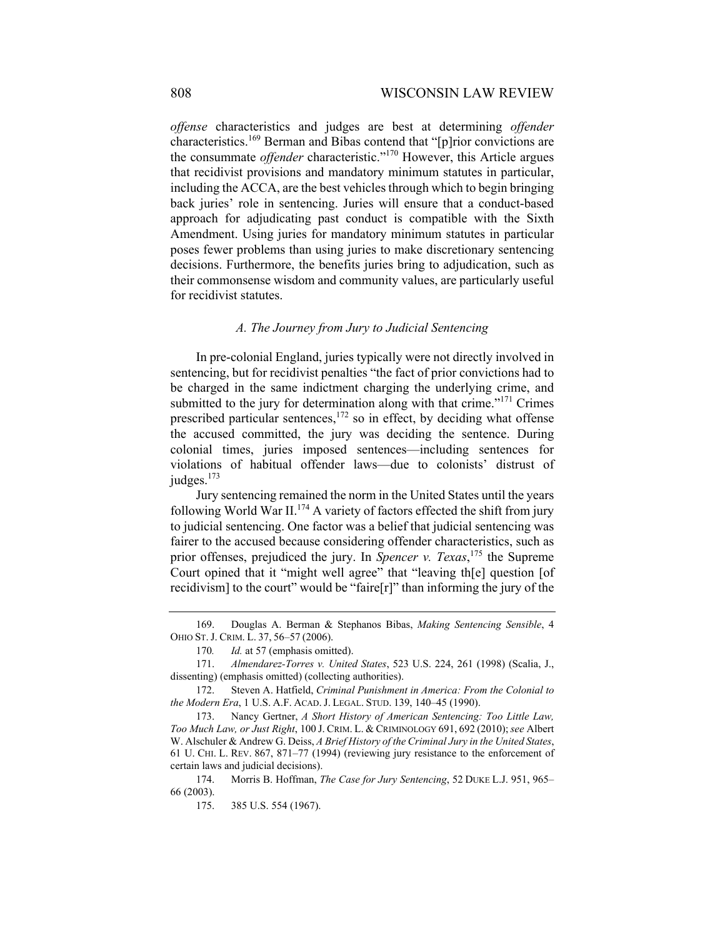*offense* characteristics and judges are best at determining *offender* characteristics.169 Berman and Bibas contend that "[p]rior convictions are the consummate *offender* characteristic."170 However, this Article argues that recidivist provisions and mandatory minimum statutes in particular, including the ACCA, are the best vehicles through which to begin bringing back juries' role in sentencing. Juries will ensure that a conduct-based approach for adjudicating past conduct is compatible with the Sixth Amendment. Using juries for mandatory minimum statutes in particular poses fewer problems than using juries to make discretionary sentencing decisions. Furthermore, the benefits juries bring to adjudication, such as their commonsense wisdom and community values, are particularly useful for recidivist statutes.

#### *A. The Journey from Jury to Judicial Sentencing*

In pre-colonial England, juries typically were not directly involved in sentencing, but for recidivist penalties "the fact of prior convictions had to be charged in the same indictment charging the underlying crime, and submitted to the jury for determination along with that crime."<sup>171</sup> Crimes prescribed particular sentences,<sup>172</sup> so in effect, by deciding what offense the accused committed, the jury was deciding the sentence. During colonial times, juries imposed sentences—including sentences for violations of habitual offender laws—due to colonists' distrust of judges. $173$ 

Jury sentencing remained the norm in the United States until the years following World War II.<sup>174</sup> A variety of factors effected the shift from jury to judicial sentencing. One factor was a belief that judicial sentencing was fairer to the accused because considering offender characteristics, such as prior offenses, prejudiced the jury. In *Spencer v. Texas*, <sup>175</sup> the Supreme Court opined that it "might well agree" that "leaving th[e] question [of recidivism] to the court" would be "faire[r]" than informing the jury of the

 <sup>169.</sup> Douglas A. Berman & Stephanos Bibas, *Making Sentencing Sensible*, 4 OHIO ST. J. CRIM. L. 37, 56–57 (2006).

<sup>170</sup>*. Id.* at 57 (emphasis omitted).

 <sup>171.</sup> *Almendarez-Torres v. United States*, 523 U.S. 224, 261 (1998) (Scalia, J., dissenting) (emphasis omitted) (collecting authorities).

 <sup>172.</sup> Steven A. Hatfield, *Criminal Punishment in America: From the Colonial to the Modern Era*, 1 U.S. A.F. ACAD. J. LEGAL. STUD. 139, 140–45 (1990).

 <sup>173.</sup> Nancy Gertner, *A Short History of American Sentencing: Too Little Law, Too Much Law, or Just Right*, 100 J. CRIM. L. & CRIMINOLOGY 691, 692 (2010);*see* Albert W. Alschuler & Andrew G. Deiss, *A Brief History of the Criminal Jury in the United States*, 61 U. CHI. L. REV. 867, 871–77 (1994) (reviewing jury resistance to the enforcement of certain laws and judicial decisions).

 <sup>174.</sup> Morris B. Hoffman, *The Case for Jury Sentencing*, 52 DUKE L.J. 951, 965– 66 (2003).

 <sup>175. 385</sup> U.S. 554 (1967).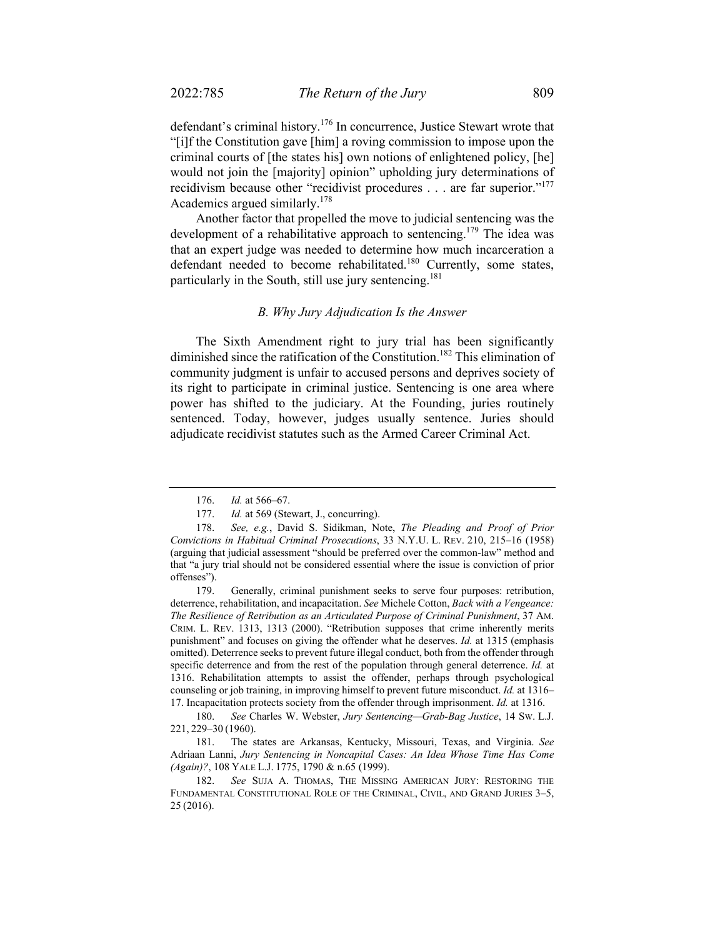defendant's criminal history.176 In concurrence, Justice Stewart wrote that "[i]f the Constitution gave [him] a roving commission to impose upon the criminal courts of [the states his] own notions of enlightened policy, [he] would not join the [majority] opinion" upholding jury determinations of recidivism because other "recidivist procedures . . . are far superior."<sup>177</sup> Academics argued similarly.178

Another factor that propelled the move to judicial sentencing was the development of a rehabilitative approach to sentencing.<sup>179</sup> The idea was that an expert judge was needed to determine how much incarceration a defendant needed to become rehabilitated.<sup>180</sup> Currently, some states, particularly in the South, still use jury sentencing.<sup>181</sup>

### *B. Why Jury Adjudication Is the Answer*

The Sixth Amendment right to jury trial has been significantly diminished since the ratification of the Constitution.<sup>182</sup> This elimination of community judgment is unfair to accused persons and deprives society of its right to participate in criminal justice. Sentencing is one area where power has shifted to the judiciary. At the Founding, juries routinely sentenced. Today, however, judges usually sentence. Juries should adjudicate recidivist statutes such as the Armed Career Criminal Act.

 <sup>176.</sup> *Id.* at 566–67.

 <sup>177.</sup> *Id.* at 569 (Stewart, J., concurring).

 <sup>178.</sup> *See, e.g.*, David S. Sidikman, Note, *The Pleading and Proof of Prior Convictions in Habitual Criminal Prosecutions*, 33 N.Y.U. L. REV. 210, 215–16 (1958) (arguing that judicial assessment "should be preferred over the common-law" method and that "a jury trial should not be considered essential where the issue is conviction of prior offenses").

 <sup>179.</sup> Generally, criminal punishment seeks to serve four purposes: retribution, deterrence, rehabilitation, and incapacitation. *See* Michele Cotton, *Back with a Vengeance: The Resilience of Retribution as an Articulated Purpose of Criminal Punishment*, 37 AM. CRIM. L. REV. 1313, 1313 (2000). "Retribution supposes that crime inherently merits punishment" and focuses on giving the offender what he deserves. *Id.* at 1315 (emphasis omitted). Deterrence seeks to prevent future illegal conduct, both from the offender through specific deterrence and from the rest of the population through general deterrence. *Id.* at 1316. Rehabilitation attempts to assist the offender, perhaps through psychological counseling or job training, in improving himself to prevent future misconduct. *Id.* at 1316– 17. Incapacitation protects society from the offender through imprisonment. *Id.* at 1316.

 <sup>180.</sup> *See* Charles W. Webster, *Jury Sentencing—Grab-Bag Justice*, 14 SW. L.J. 221, 229–30 (1960).

 <sup>181.</sup> The states are Arkansas, Kentucky, Missouri, Texas, and Virginia. *See*  Adriaan Lanni, *Jury Sentencing in Noncapital Cases: An Idea Whose Time Has Come (Again)?*, 108 YALE L.J. 1775, 1790 & n.65 (1999).

 <sup>182.</sup> *See* SUJA A. THOMAS, THE MISSING AMERICAN JURY: RESTORING THE FUNDAMENTAL CONSTITUTIONAL ROLE OF THE CRIMINAL, CIVIL, AND GRAND JURIES 3–5, 25 (2016).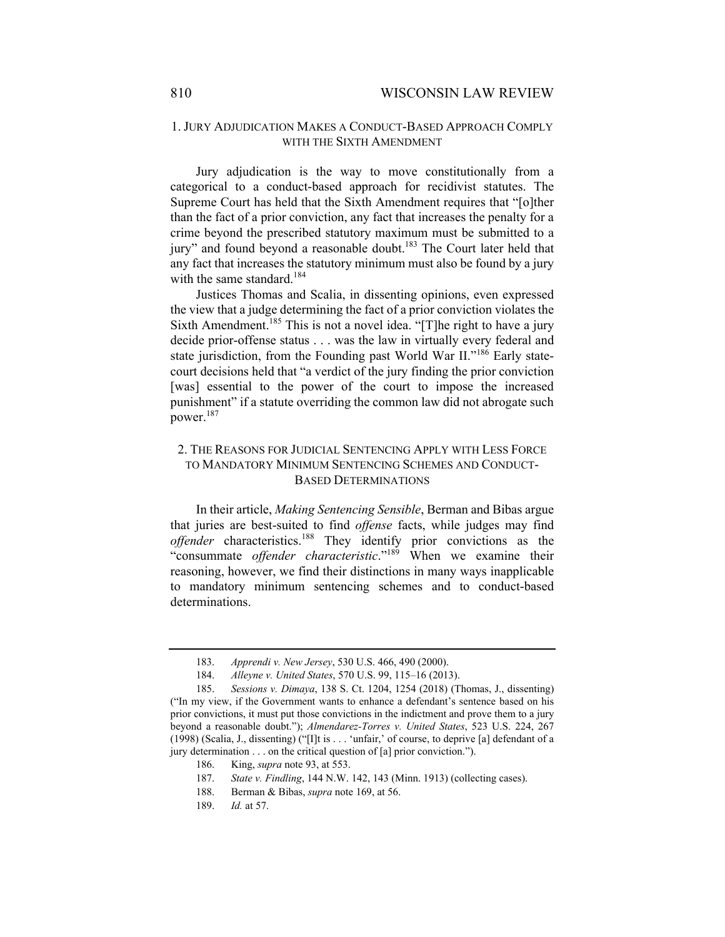## 1. JURY ADJUDICATION MAKES A CONDUCT-BASED APPROACH COMPLY WITH THE SIXTH AMENDMENT

Jury adjudication is the way to move constitutionally from a categorical to a conduct-based approach for recidivist statutes. The Supreme Court has held that the Sixth Amendment requires that "[o]ther than the fact of a prior conviction, any fact that increases the penalty for a crime beyond the prescribed statutory maximum must be submitted to a jury" and found beyond a reasonable doubt.<sup>183</sup> The Court later held that any fact that increases the statutory minimum must also be found by a jury with the same standard.<sup>184</sup>

Justices Thomas and Scalia, in dissenting opinions, even expressed the view that a judge determining the fact of a prior conviction violates the Sixth Amendment.<sup>185</sup> This is not a novel idea. "[T]he right to have a jury decide prior-offense status . . . was the law in virtually every federal and state jurisdiction, from the Founding past World War II."<sup>186</sup> Early statecourt decisions held that "a verdict of the jury finding the prior conviction [was] essential to the power of the court to impose the increased punishment" if a statute overriding the common law did not abrogate such power.<sup>187</sup>

## 2. THE REASONS FOR JUDICIAL SENTENCING APPLY WITH LESS FORCE TO MANDATORY MINIMUM SENTENCING SCHEMES AND CONDUCT-BASED DETERMINATIONS

In their article, *Making Sentencing Sensible*, Berman and Bibas argue that juries are best-suited to find *offense* facts, while judges may find *offender* characteristics.188 They identify prior convictions as the "consummate *offender characteristic*."189 When we examine their reasoning, however, we find their distinctions in many ways inapplicable to mandatory minimum sentencing schemes and to conduct-based determinations.

 <sup>183.</sup> *Apprendi v. New Jersey*, 530 U.S. 466, 490 (2000).

 <sup>184.</sup> *Alleyne v. United States*, 570 U.S. 99, 115–16 (2013).

 <sup>185.</sup> *Sessions v. Dimaya*, 138 S. Ct. 1204, 1254 (2018) (Thomas, J., dissenting) ("In my view, if the Government wants to enhance a defendant's sentence based on his prior convictions, it must put those convictions in the indictment and prove them to a jury beyond a reasonable doubt."); *Almendarez-Torres v. United States*, 523 U.S. 224, 267 (1998) (Scalia, J., dissenting) ("[I]t is . . . 'unfair,' of course, to deprive [a] defendant of a jury determination . . . on the critical question of [a] prior conviction.").

 <sup>186.</sup> King, *supra* note 93, at 553.

 <sup>187.</sup> *State v. Findling*, 144 N.W. 142, 143 (Minn. 1913) (collecting cases).

 <sup>188.</sup> Berman & Bibas, *supra* note 169, at 56.

 <sup>189.</sup> *Id.* at 57.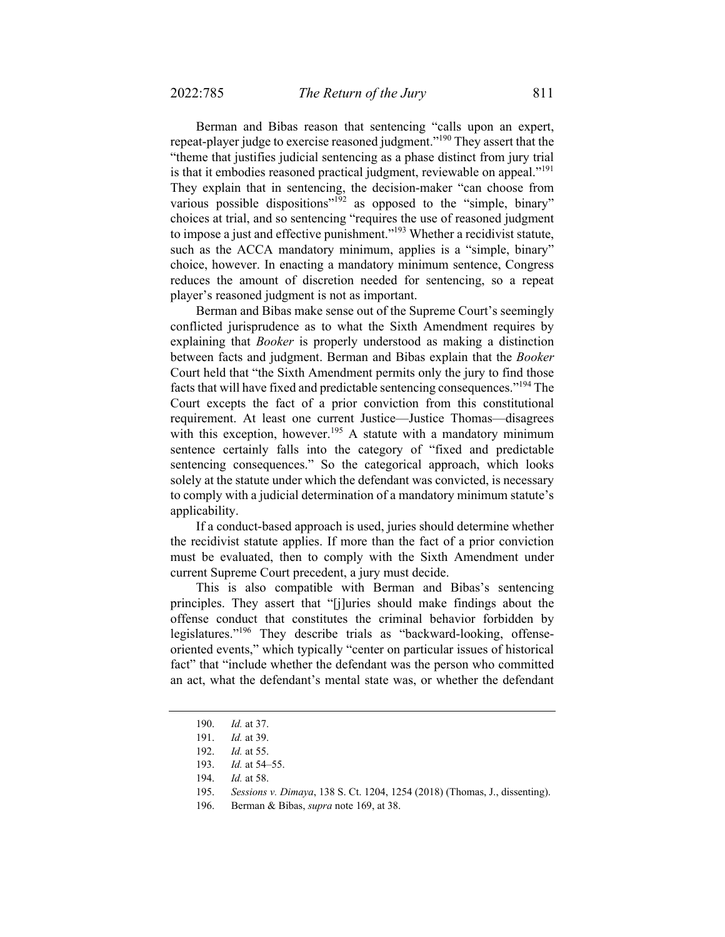Berman and Bibas reason that sentencing "calls upon an expert, repeat-player judge to exercise reasoned judgment."<sup>190</sup> They assert that the "theme that justifies judicial sentencing as a phase distinct from jury trial is that it embodies reasoned practical judgment, reviewable on appeal."<sup>191</sup> They explain that in sentencing, the decision-maker "can choose from various possible dispositions"<sup>192</sup> as opposed to the "simple, binary" choices at trial, and so sentencing "requires the use of reasoned judgment to impose a just and effective punishment."<sup>193</sup> Whether a recidivist statute, such as the ACCA mandatory minimum, applies is a "simple, binary" choice, however. In enacting a mandatory minimum sentence, Congress reduces the amount of discretion needed for sentencing, so a repeat player's reasoned judgment is not as important.

Berman and Bibas make sense out of the Supreme Court's seemingly conflicted jurisprudence as to what the Sixth Amendment requires by explaining that *Booker* is properly understood as making a distinction between facts and judgment. Berman and Bibas explain that the *Booker* Court held that "the Sixth Amendment permits only the jury to find those facts that will have fixed and predictable sentencing consequences."194 The Court excepts the fact of a prior conviction from this constitutional requirement. At least one current Justice—Justice Thomas—disagrees with this exception, however.<sup>195</sup> A statute with a mandatory minimum sentence certainly falls into the category of "fixed and predictable sentencing consequences." So the categorical approach, which looks solely at the statute under which the defendant was convicted, is necessary to comply with a judicial determination of a mandatory minimum statute's applicability.

If a conduct-based approach is used, juries should determine whether the recidivist statute applies. If more than the fact of a prior conviction must be evaluated, then to comply with the Sixth Amendment under current Supreme Court precedent, a jury must decide.

This is also compatible with Berman and Bibas's sentencing principles. They assert that "[j]uries should make findings about the offense conduct that constitutes the criminal behavior forbidden by legislatures."196 They describe trials as "backward-looking, offenseoriented events," which typically "center on particular issues of historical fact" that "include whether the defendant was the person who committed an act, what the defendant's mental state was, or whether the defendant

 <sup>190.</sup> *Id.* at 37.

 <sup>191.</sup> *Id.* at 39.

 <sup>192.</sup> *Id.* at 55.

 <sup>193.</sup> *Id.* at 54–55.

 <sup>194.</sup> *Id.* at 58.

<sup>195.</sup> *Sessions v. Dimaya*, 138 S. Ct. 1204, 1254 (2018) (Thomas, J., dissenting).

 <sup>196.</sup> Berman & Bibas, *supra* note 169, at 38.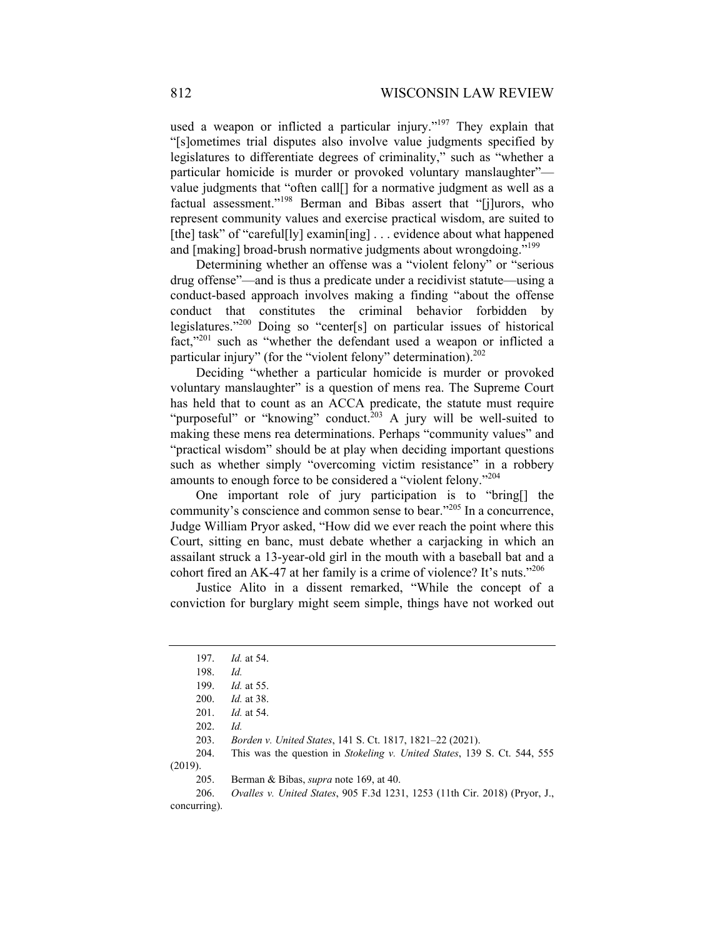used a weapon or inflicted a particular injury."<sup>197</sup> They explain that "[s]ometimes trial disputes also involve value judgments specified by legislatures to differentiate degrees of criminality," such as "whether a particular homicide is murder or provoked voluntary manslaughter" value judgments that "often call[] for a normative judgment as well as a factual assessment."<sup>198</sup> Berman and Bibas assert that "[j]urors, who represent community values and exercise practical wisdom, are suited to [the] task" of "careful[ly] examin[ing] . . . evidence about what happened and [making] broad-brush normative judgments about wrongdoing."<sup>199</sup>

Determining whether an offense was a "violent felony" or "serious drug offense"—and is thus a predicate under a recidivist statute—using a conduct-based approach involves making a finding "about the offense conduct that constitutes the criminal behavior forbidden by legislatures."200 Doing so "center[s] on particular issues of historical fact,"201 such as "whether the defendant used a weapon or inflicted a particular injury" (for the "violent felony" determination).<sup>202</sup>

Deciding "whether a particular homicide is murder or provoked voluntary manslaughter" is a question of mens rea. The Supreme Court has held that to count as an ACCA predicate, the statute must require "purposeful" or "knowing" conduct.<sup>203</sup> A jury will be well-suited to making these mens rea determinations. Perhaps "community values" and "practical wisdom" should be at play when deciding important questions such as whether simply "overcoming victim resistance" in a robbery amounts to enough force to be considered a "violent felony."204

One important role of jury participation is to "bring[] the community's conscience and common sense to bear."205 In a concurrence, Judge William Pryor asked, "How did we ever reach the point where this Court, sitting en banc, must debate whether a carjacking in which an assailant struck a 13-year-old girl in the mouth with a baseball bat and a cohort fired an AK-47 at her family is a crime of violence? It's nuts."<sup>206</sup>

Justice Alito in a dissent remarked, "While the concept of a conviction for burglary might seem simple, things have not worked out

 204. This was the question in *Stokeling v. United States*, 139 S. Ct. 544, 555 (2019).

 206. *Ovalles v. United States*, 905 F.3d 1231, 1253 (11th Cir. 2018) (Pryor, J., concurring).

 <sup>197.</sup> *Id.* at 54.

 <sup>198.</sup> *Id.*

 <sup>199.</sup> *Id.* at 55.

 <sup>200.</sup> *Id.* at 38.

 <sup>201.</sup> *Id.* at 54.

 <sup>202.</sup> *Id.*

 <sup>203.</sup> *Borden v. United States*, 141 S. Ct. 1817, 1821–22 (2021).

 <sup>205.</sup> Berman & Bibas, *supra* note 169, at 40.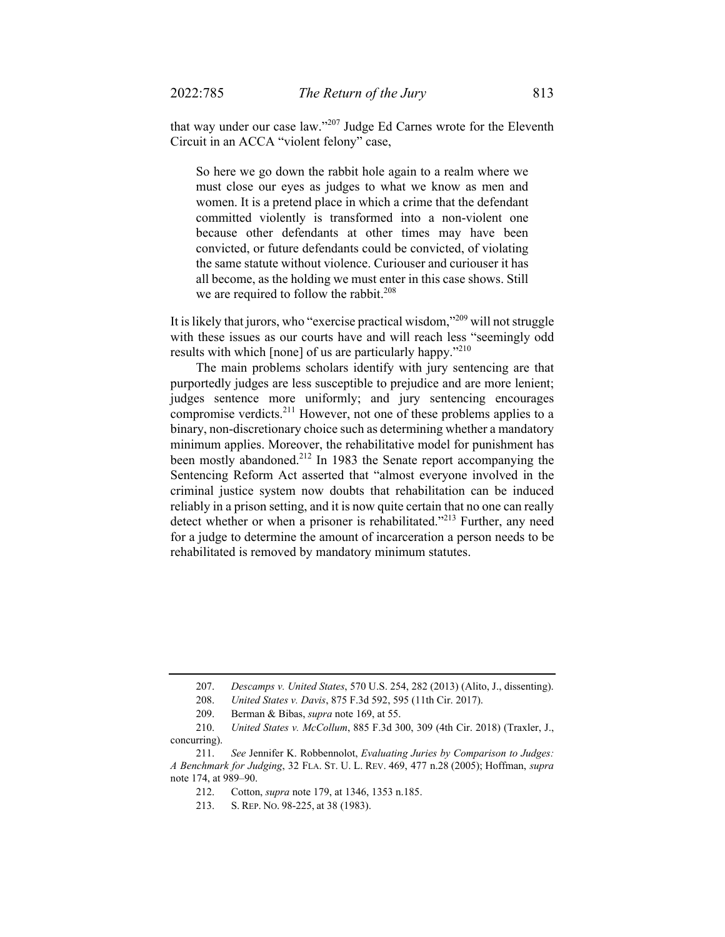that way under our case law."207 Judge Ed Carnes wrote for the Eleventh Circuit in an ACCA "violent felony" case,

So here we go down the rabbit hole again to a realm where we must close our eyes as judges to what we know as men and women. It is a pretend place in which a crime that the defendant committed violently is transformed into a non-violent one because other defendants at other times may have been convicted, or future defendants could be convicted, of violating the same statute without violence. Curiouser and curiouser it has all become, as the holding we must enter in this case shows. Still we are required to follow the rabbit.<sup>208</sup>

It is likely that jurors, who "exercise practical wisdom,"209 will not struggle with these issues as our courts have and will reach less "seemingly odd results with which [none] of us are particularly happy."<sup>210</sup>

The main problems scholars identify with jury sentencing are that purportedly judges are less susceptible to prejudice and are more lenient; judges sentence more uniformly; and jury sentencing encourages compromise verdicts.211 However, not one of these problems applies to a binary, non-discretionary choice such as determining whether a mandatory minimum applies. Moreover, the rehabilitative model for punishment has been mostly abandoned.<sup>212</sup> In 1983 the Senate report accompanying the Sentencing Reform Act asserted that "almost everyone involved in the criminal justice system now doubts that rehabilitation can be induced reliably in a prison setting, and it is now quite certain that no one can really detect whether or when a prisoner is rehabilitated."<sup>213</sup> Further, any need for a judge to determine the amount of incarceration a person needs to be rehabilitated is removed by mandatory minimum statutes.

 <sup>207.</sup> *Descamps v. United States*, 570 U.S. 254, 282 (2013) (Alito, J., dissenting).

 <sup>208.</sup> *United States v. Davis*, 875 F.3d 592, 595 (11th Cir. 2017).

<sup>209.</sup> Berman & Bibas, *supra* note 169, at 55.

 <sup>210.</sup> *United States v. McCollum*, 885 F.3d 300, 309 (4th Cir. 2018) (Traxler, J., concurring).

 <sup>211.</sup> *See* Jennifer K. Robbennolot, *Evaluating Juries by Comparison to Judges: A Benchmark for Judging*, 32 FLA. ST. U. L. REV. 469, 477 n.28 (2005); Hoffman, *supra*  note 174, at 989–90.

 <sup>212.</sup> Cotton, *supra* note 179, at 1346, 1353 n.185.

 <sup>213.</sup> S. REP. NO. 98-225, at 38 (1983).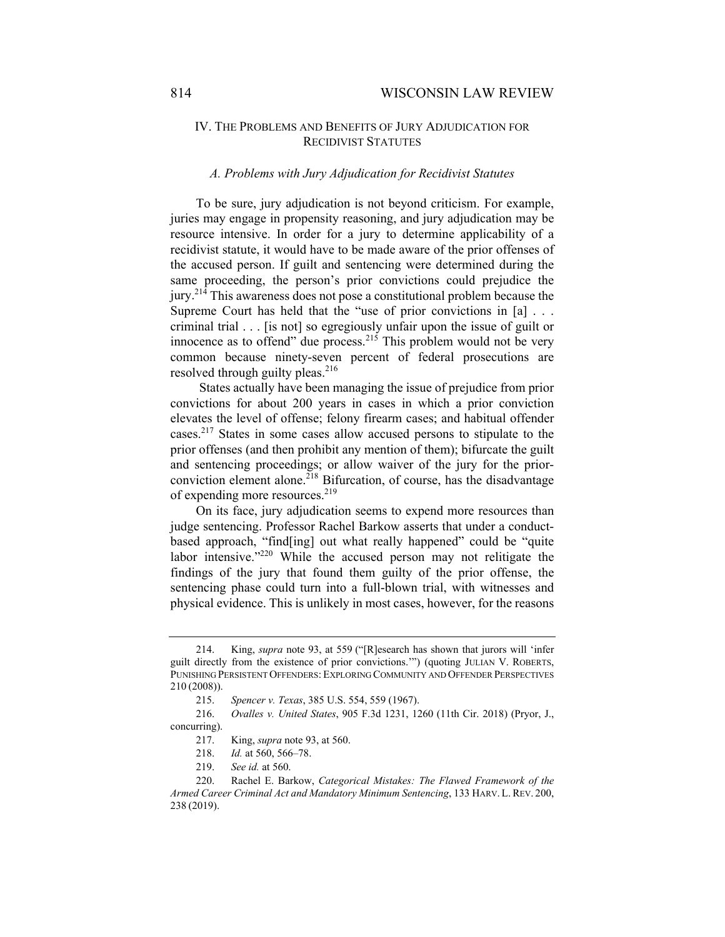## IV. THE PROBLEMS AND BENEFITS OF JURY ADJUDICATION FOR RECIDIVIST STATUTES

#### *A. Problems with Jury Adjudication for Recidivist Statutes*

To be sure, jury adjudication is not beyond criticism. For example, juries may engage in propensity reasoning, and jury adjudication may be resource intensive. In order for a jury to determine applicability of a recidivist statute, it would have to be made aware of the prior offenses of the accused person. If guilt and sentencing were determined during the same proceeding, the person's prior convictions could prejudice the jury.<sup>214</sup> This awareness does not pose a constitutional problem because the Supreme Court has held that the "use of prior convictions in  $[a]$ ... criminal trial . . . [is not] so egregiously unfair upon the issue of guilt or innocence as to offend" due process.<sup>215</sup> This problem would not be very common because ninety-seven percent of federal prosecutions are resolved through guilty pleas. $216$ 

 States actually have been managing the issue of prejudice from prior convictions for about 200 years in cases in which a prior conviction elevates the level of offense; felony firearm cases; and habitual offender cases.217 States in some cases allow accused persons to stipulate to the prior offenses (and then prohibit any mention of them); bifurcate the guilt and sentencing proceedings; or allow waiver of the jury for the priorconviction element alone.<sup>218</sup> Bifurcation, of course, has the disadvantage of expending more resources.<sup>219</sup>

On its face, jury adjudication seems to expend more resources than judge sentencing. Professor Rachel Barkow asserts that under a conductbased approach, "find[ing] out what really happened" could be "quite labor intensive."<sup>220</sup> While the accused person may not relitigate the findings of the jury that found them guilty of the prior offense, the sentencing phase could turn into a full-blown trial, with witnesses and physical evidence. This is unlikely in most cases, however, for the reasons

 <sup>214.</sup> King, *supra* note 93, at 559 ("[R]esearch has shown that jurors will 'infer guilt directly from the existence of prior convictions.'") (quoting JULIAN V. ROBERTS, PUNISHING PERSISTENT OFFENDERS: EXPLORING COMMUNITY AND OFFENDER PERSPECTIVES 210 (2008)).

 <sup>215.</sup> *Spencer v. Texas*, 385 U.S. 554, 559 (1967).

 <sup>216.</sup> *Ovalles v. United States*, 905 F.3d 1231, 1260 (11th Cir. 2018) (Pryor, J., concurring).

 <sup>217.</sup> King, *supra* note 93, at 560.

 <sup>218.</sup> *Id.* at 560, 566–78.

 <sup>219.</sup> *See id.* at 560.

 <sup>220.</sup> Rachel E. Barkow, *Categorical Mistakes: The Flawed Framework of the Armed Career Criminal Act and Mandatory Minimum Sentencing*, 133 HARV. L. REV. 200, 238 (2019).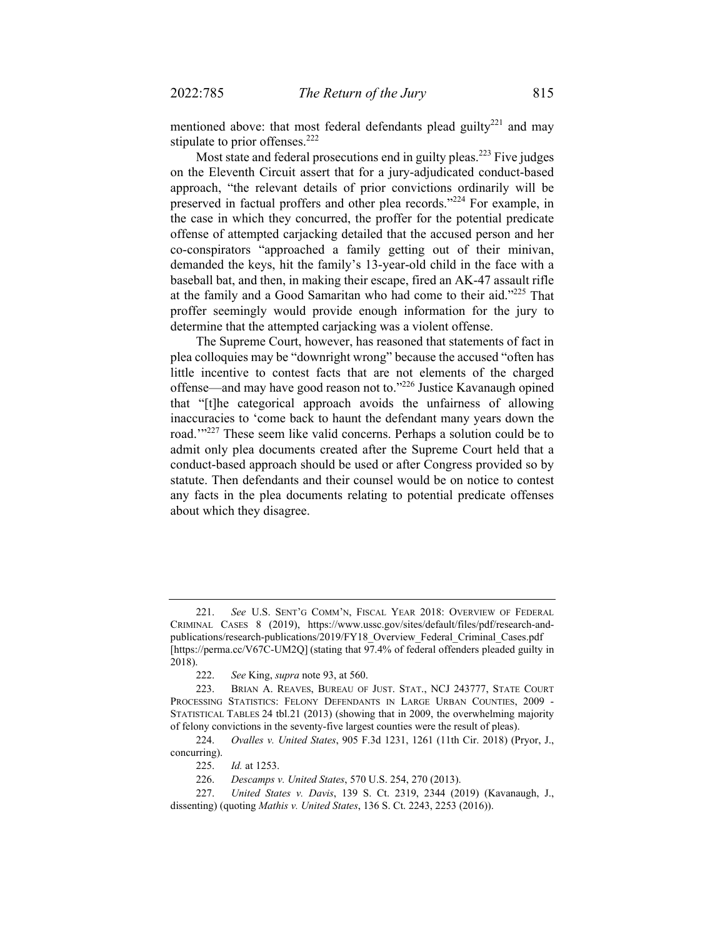mentioned above: that most federal defendants plead guilty<sup>221</sup> and may stipulate to prior offenses.<sup>222</sup>

Most state and federal prosecutions end in guilty pleas.<sup>223</sup> Five judges on the Eleventh Circuit assert that for a jury-adjudicated conduct-based approach, "the relevant details of prior convictions ordinarily will be preserved in factual proffers and other plea records."224 For example, in the case in which they concurred, the proffer for the potential predicate offense of attempted carjacking detailed that the accused person and her co-conspirators "approached a family getting out of their minivan, demanded the keys, hit the family's 13-year-old child in the face with a baseball bat, and then, in making their escape, fired an AK-47 assault rifle at the family and a Good Samaritan who had come to their aid."225 That proffer seemingly would provide enough information for the jury to determine that the attempted carjacking was a violent offense.

The Supreme Court, however, has reasoned that statements of fact in plea colloquies may be "downright wrong" because the accused "often has little incentive to contest facts that are not elements of the charged offense—and may have good reason not to."226 Justice Kavanaugh opined that "[t]he categorical approach avoids the unfairness of allowing inaccuracies to 'come back to haunt the defendant many years down the road."<sup>227</sup> These seem like valid concerns. Perhaps a solution could be to admit only plea documents created after the Supreme Court held that a conduct-based approach should be used or after Congress provided so by statute. Then defendants and their counsel would be on notice to contest any facts in the plea documents relating to potential predicate offenses about which they disagree.

 224. *Ovalles v. United States*, 905 F.3d 1231, 1261 (11th Cir. 2018) (Pryor, J., concurring).

 <sup>221.</sup> *See* U.S. SENT'G COMM'N, FISCAL YEAR 2018: OVERVIEW OF FEDERAL CRIMINAL CASES 8 (2019), https://www.ussc.gov/sites/default/files/pdf/research-andpublications/research-publications/2019/FY18\_Overview\_Federal\_Criminal\_Cases.pdf [https://perma.cc/V67C-UM2Q] (stating that 97.4% of federal offenders pleaded guilty in 2018).

 <sup>222.</sup> *See* King, *supra* note 93, at 560.

 <sup>223.</sup> BRIAN A. REAVES, BUREAU OF JUST. STAT., NCJ 243777, STATE COURT PROCESSING STATISTICS: FELONY DEFENDANTS IN LARGE URBAN COUNTIES, 2009 - STATISTICAL TABLES 24 tbl.21 (2013) (showing that in 2009, the overwhelming majority of felony convictions in the seventy-five largest counties were the result of pleas).

 <sup>225.</sup> *Id.* at 1253.

 <sup>226.</sup> *Descamps v. United States*, 570 U.S. 254, 270 (2013).

 <sup>227.</sup> *United States v. Davis*, 139 S. Ct. 2319, 2344 (2019) (Kavanaugh, J., dissenting) (quoting *Mathis v. United States*, 136 S. Ct. 2243, 2253 (2016)).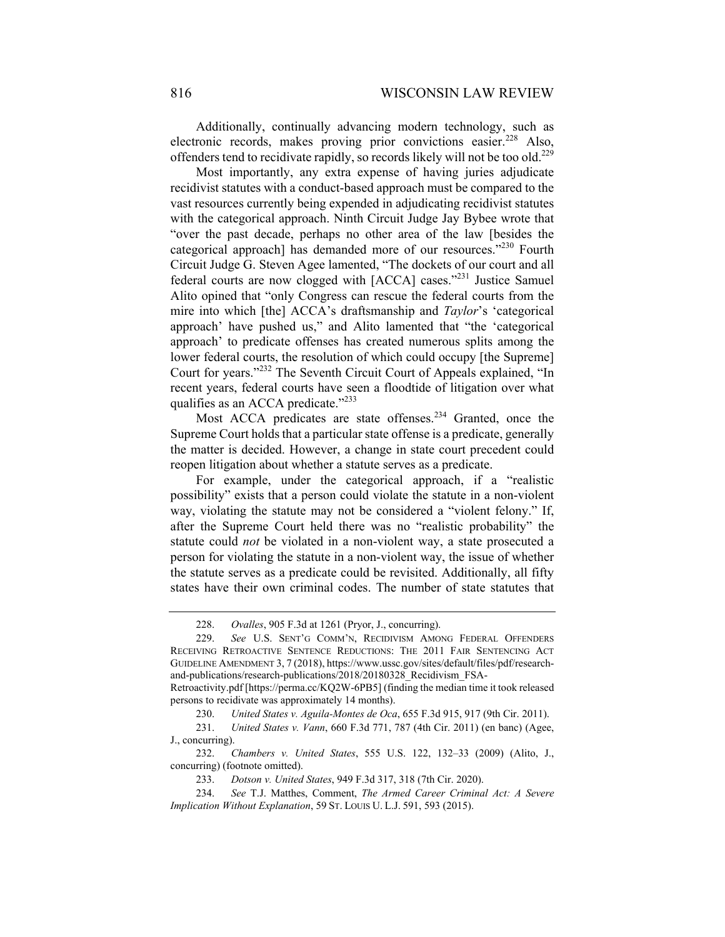Additionally, continually advancing modern technology, such as electronic records, makes proving prior convictions easier.<sup>228</sup> Also, offenders tend to recidivate rapidly, so records likely will not be too old.<sup>229</sup>

Most importantly, any extra expense of having juries adjudicate recidivist statutes with a conduct-based approach must be compared to the vast resources currently being expended in adjudicating recidivist statutes with the categorical approach. Ninth Circuit Judge Jay Bybee wrote that "over the past decade, perhaps no other area of the law [besides the categorical approach] has demanded more of our resources."230 Fourth Circuit Judge G. Steven Agee lamented, "The dockets of our court and all federal courts are now clogged with [ACCA] cases."<sup>231</sup> Justice Samuel Alito opined that "only Congress can rescue the federal courts from the mire into which [the] ACCA's draftsmanship and *Taylor*'s 'categorical approach' have pushed us," and Alito lamented that "the 'categorical approach' to predicate offenses has created numerous splits among the lower federal courts, the resolution of which could occupy [the Supreme] Court for years."232 The Seventh Circuit Court of Appeals explained, "In recent years, federal courts have seen a floodtide of litigation over what qualifies as an ACCA predicate."<sup>233</sup>

Most ACCA predicates are state offenses.<sup>234</sup> Granted, once the Supreme Court holds that a particular state offense is a predicate, generally the matter is decided. However, a change in state court precedent could reopen litigation about whether a statute serves as a predicate.

For example, under the categorical approach, if a "realistic possibility" exists that a person could violate the statute in a non-violent way, violating the statute may not be considered a "violent felony." If, after the Supreme Court held there was no "realistic probability" the statute could *not* be violated in a non-violent way, a state prosecuted a person for violating the statute in a non-violent way, the issue of whether the statute serves as a predicate could be revisited. Additionally, all fifty states have their own criminal codes. The number of state statutes that

 <sup>228.</sup> *Ovalles*, 905 F.3d at 1261 (Pryor, J., concurring).

 <sup>229.</sup> *See* U.S. SENT'G COMM'N, RECIDIVISM AMONG FEDERAL OFFENDERS RECEIVING RETROACTIVE SENTENCE REDUCTIONS: THE 2011 FAIR SENTENCING ACT GUIDELINE AMENDMENT 3, 7 (2018), https://www.ussc.gov/sites/default/files/pdf/researchand-publications/research-publications/2018/20180328\_Recidivism\_FSA-

Retroactivity.pdf [https://perma.cc/KQ2W-6PB5] (finding the median time it took released persons to recidivate was approximately 14 months).

 <sup>230.</sup> *United States v. Aguila-Montes de Oca*, 655 F.3d 915, 917 (9th Cir. 2011).

 <sup>231.</sup> *United States v. Vann*, 660 F.3d 771, 787 (4th Cir. 2011) (en banc) (Agee, J., concurring).

 <sup>232.</sup> *Chambers v. United States*, 555 U.S. 122, 132–33 (2009) (Alito, J., concurring) (footnote omitted).

 <sup>233.</sup> *Dotson v. United States*, 949 F.3d 317, 318 (7th Cir. 2020).

 <sup>234.</sup> *See* T.J. Matthes, Comment, *The Armed Career Criminal Act: A Severe Implication Without Explanation*, 59 ST. LOUIS U. L.J. 591, 593 (2015).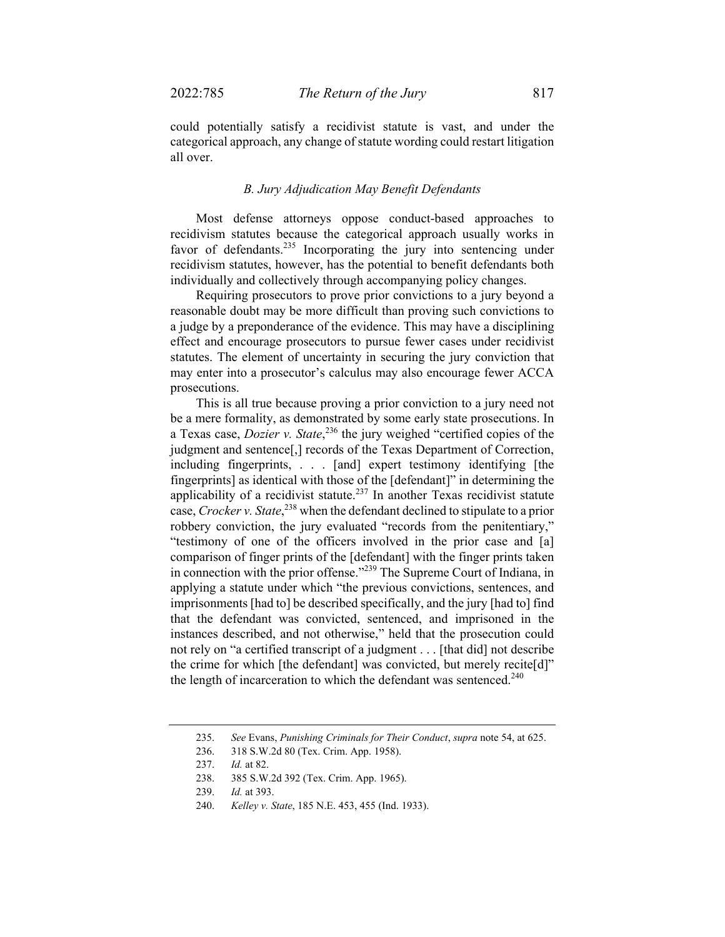could potentially satisfy a recidivist statute is vast, and under the categorical approach, any change of statute wording could restart litigation all over.

## *B. Jury Adjudication May Benefit Defendants*

Most defense attorneys oppose conduct-based approaches to recidivism statutes because the categorical approach usually works in favor of defendants.<sup>235</sup> Incorporating the jury into sentencing under recidivism statutes, however, has the potential to benefit defendants both individually and collectively through accompanying policy changes.

Requiring prosecutors to prove prior convictions to a jury beyond a reasonable doubt may be more difficult than proving such convictions to a judge by a preponderance of the evidence. This may have a disciplining effect and encourage prosecutors to pursue fewer cases under recidivist statutes. The element of uncertainty in securing the jury conviction that may enter into a prosecutor's calculus may also encourage fewer ACCA prosecutions.

This is all true because proving a prior conviction to a jury need not be a mere formality, as demonstrated by some early state prosecutions. In a Texas case, *Dozier v. State*, 236 the jury weighed "certified copies of the judgment and sentence[,] records of the Texas Department of Correction, including fingerprints, . . . [and] expert testimony identifying [the fingerprints] as identical with those of the [defendant]" in determining the applicability of a recidivist statute.<sup>237</sup> In another Texas recidivist statute case, *Crocker v. State*, 238 when the defendant declined to stipulate to a prior robbery conviction, the jury evaluated "records from the penitentiary," "testimony of one of the officers involved in the prior case and [a] comparison of finger prints of the [defendant] with the finger prints taken in connection with the prior offense."<sup>239</sup> The Supreme Court of Indiana, in applying a statute under which "the previous convictions, sentences, and imprisonments [had to] be described specifically, and the jury [had to] find that the defendant was convicted, sentenced, and imprisoned in the instances described, and not otherwise," held that the prosecution could not rely on "a certified transcript of a judgment . . . [that did] not describe the crime for which [the defendant] was convicted, but merely recite[d]" the length of incarceration to which the defendant was sentenced.<sup>240</sup>

240. *Kelley v. State*, 185 N.E. 453, 455 (Ind. 1933).

 <sup>235.</sup> *See* Evans, *Punishing Criminals for Their Conduct*, *supra* note 54, at 625.

 <sup>236. 318</sup> S.W.2d 80 (Tex. Crim. App. 1958).

 <sup>237.</sup> *Id.* at 82.

 <sup>238. 385</sup> S.W.2d 392 (Tex. Crim. App. 1965).

 <sup>239.</sup> *Id.* at 393.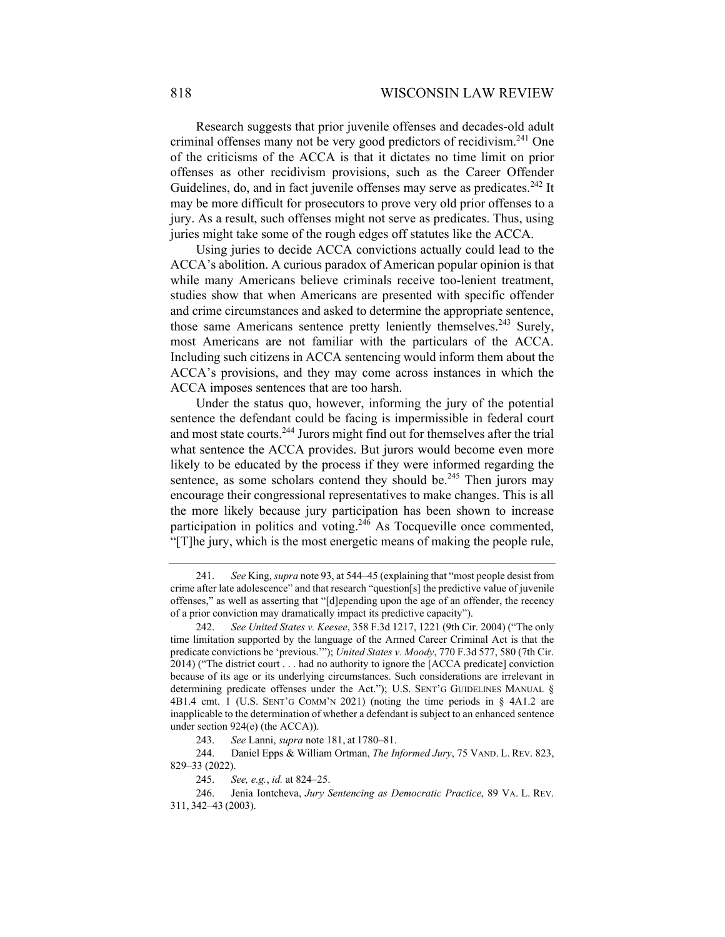Research suggests that prior juvenile offenses and decades-old adult criminal offenses many not be very good predictors of recidivism.<sup>241</sup> One of the criticisms of the ACCA is that it dictates no time limit on prior offenses as other recidivism provisions, such as the Career Offender Guidelines, do, and in fact juvenile offenses may serve as predicates.<sup>242</sup> It may be more difficult for prosecutors to prove very old prior offenses to a jury. As a result, such offenses might not serve as predicates. Thus, using juries might take some of the rough edges off statutes like the ACCA.

Using juries to decide ACCA convictions actually could lead to the ACCA's abolition. A curious paradox of American popular opinion is that while many Americans believe criminals receive too-lenient treatment, studies show that when Americans are presented with specific offender and crime circumstances and asked to determine the appropriate sentence, those same Americans sentence pretty leniently themselves.<sup>243</sup> Surely, most Americans are not familiar with the particulars of the ACCA. Including such citizens in ACCA sentencing would inform them about the ACCA's provisions, and they may come across instances in which the ACCA imposes sentences that are too harsh.

Under the status quo, however, informing the jury of the potential sentence the defendant could be facing is impermissible in federal court and most state courts.<sup>244</sup> Jurors might find out for themselves after the trial what sentence the ACCA provides. But jurors would become even more likely to be educated by the process if they were informed regarding the sentence, as some scholars contend they should be.<sup>245</sup> Then jurors may encourage their congressional representatives to make changes. This is all the more likely because jury participation has been shown to increase participation in politics and voting.<sup>246</sup> As Tocqueville once commented, "[T]he jury, which is the most energetic means of making the people rule,

 <sup>241.</sup> *See* King, *supra* note 93, at 544–45 (explaining that "most people desist from crime after late adolescence" and that research "question[s] the predictive value of juvenile offenses," as well as asserting that "[d]epending upon the age of an offender, the recency of a prior conviction may dramatically impact its predictive capacity").

 <sup>242.</sup> *See United States v. Keesee*, 358 F.3d 1217, 1221 (9th Cir. 2004) ("The only time limitation supported by the language of the Armed Career Criminal Act is that the predicate convictions be 'previous.'"); *United States v. Moody*, 770 F.3d 577, 580 (7th Cir. 2014) ("The district court . . . had no authority to ignore the [ACCA predicate] conviction because of its age or its underlying circumstances. Such considerations are irrelevant in determining predicate offenses under the Act."); U.S. SENT'G GUIDELINES MANUAL § 4B1.4 cmt. 1 (U.S. SENT'G COMM'N 2021) (noting the time periods in § 4A1.2 are inapplicable to the determination of whether a defendant is subject to an enhanced sentence under section 924(e) (the ACCA)).

 <sup>243.</sup> *See* Lanni, *supra* note 181, at 1780–81.

 <sup>244.</sup> Daniel Epps & William Ortman, *The Informed Jury*, 75 VAND. L. REV. 823, 829–33 (2022).

 <sup>245.</sup> *See, e.g.*, *id.* at 824–25.

 <sup>246.</sup> Jenia Iontcheva, *Jury Sentencing as Democratic Practice*, 89 VA. L. REV. 311, 342–43 (2003).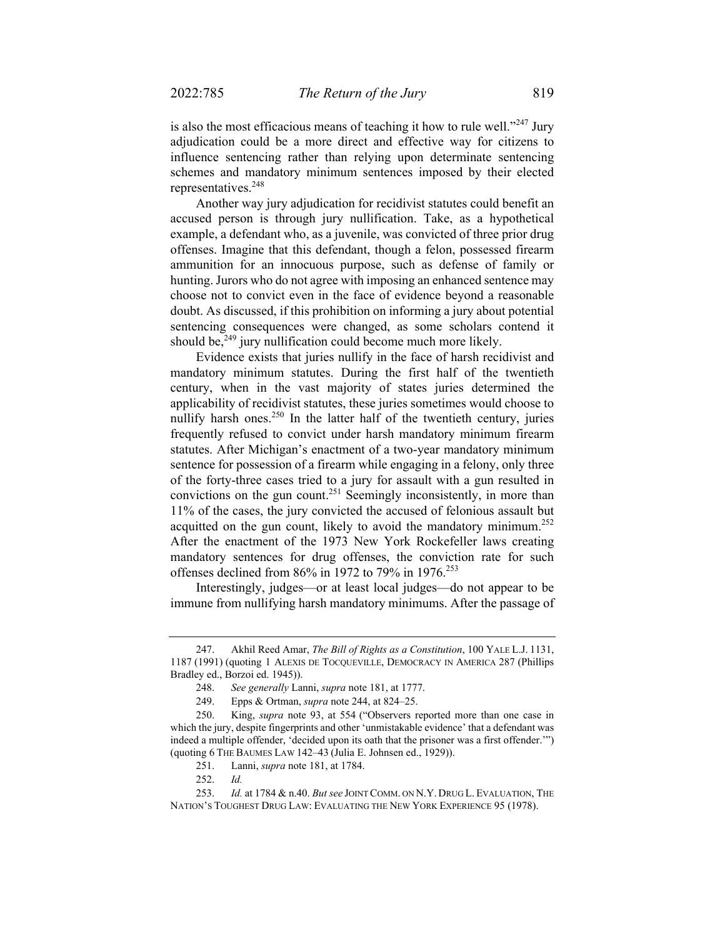is also the most efficacious means of teaching it how to rule well."<sup>247</sup> Jury adjudication could be a more direct and effective way for citizens to influence sentencing rather than relying upon determinate sentencing schemes and mandatory minimum sentences imposed by their elected representatives.<sup>248</sup>

Another way jury adjudication for recidivist statutes could benefit an accused person is through jury nullification. Take, as a hypothetical example, a defendant who, as a juvenile, was convicted of three prior drug offenses. Imagine that this defendant, though a felon, possessed firearm ammunition for an innocuous purpose, such as defense of family or hunting. Jurors who do not agree with imposing an enhanced sentence may choose not to convict even in the face of evidence beyond a reasonable doubt. As discussed, if this prohibition on informing a jury about potential sentencing consequences were changed, as some scholars contend it should be, $249$  jury nullification could become much more likely.

Evidence exists that juries nullify in the face of harsh recidivist and mandatory minimum statutes. During the first half of the twentieth century, when in the vast majority of states juries determined the applicability of recidivist statutes, these juries sometimes would choose to nullify harsh ones.<sup>250</sup> In the latter half of the twentieth century, juries frequently refused to convict under harsh mandatory minimum firearm statutes. After Michigan's enactment of a two-year mandatory minimum sentence for possession of a firearm while engaging in a felony, only three of the forty-three cases tried to a jury for assault with a gun resulted in convictions on the gun count.<sup>251</sup> Seemingly inconsistently, in more than 11% of the cases, the jury convicted the accused of felonious assault but acquitted on the gun count, likely to avoid the mandatory minimum.<sup>252</sup> After the enactment of the 1973 New York Rockefeller laws creating mandatory sentences for drug offenses, the conviction rate for such offenses declined from 86% in 1972 to 79% in 1976.<sup>253</sup>

Interestingly, judges—or at least local judges—do not appear to be immune from nullifying harsh mandatory minimums. After the passage of

 <sup>247.</sup> Akhil Reed Amar, *The Bill of Rights as a Constitution*, 100 YALE L.J. 1131, 1187 (1991) (quoting 1 ALEXIS DE TOCQUEVILLE, DEMOCRACY IN AMERICA 287 (Phillips Bradley ed., Borzoi ed. 1945)).

 <sup>248.</sup> *See generally* Lanni, *supra* note 181, at 1777.

 <sup>249.</sup> Epps & Ortman, *supra* note 244, at 824–25.

 <sup>250.</sup> King, *supra* note 93, at 554 ("Observers reported more than one case in which the jury, despite fingerprints and other 'unmistakable evidence' that a defendant was indeed a multiple offender, 'decided upon its oath that the prisoner was a first offender.'") (quoting 6 THE BAUMES LAW 142–43 (Julia E. Johnsen ed., 1929)).

 <sup>251.</sup> Lanni, *supra* note 181, at 1784.

 <sup>252.</sup> *Id.* 

<sup>253.</sup> *Id.* at 1784 & n.40. *But see* JOINT COMM. ON N.Y. DRUG L. EVALUATION, THE NATION'S TOUGHEST DRUG LAW: EVALUATING THE NEW YORK EXPERIENCE 95 (1978).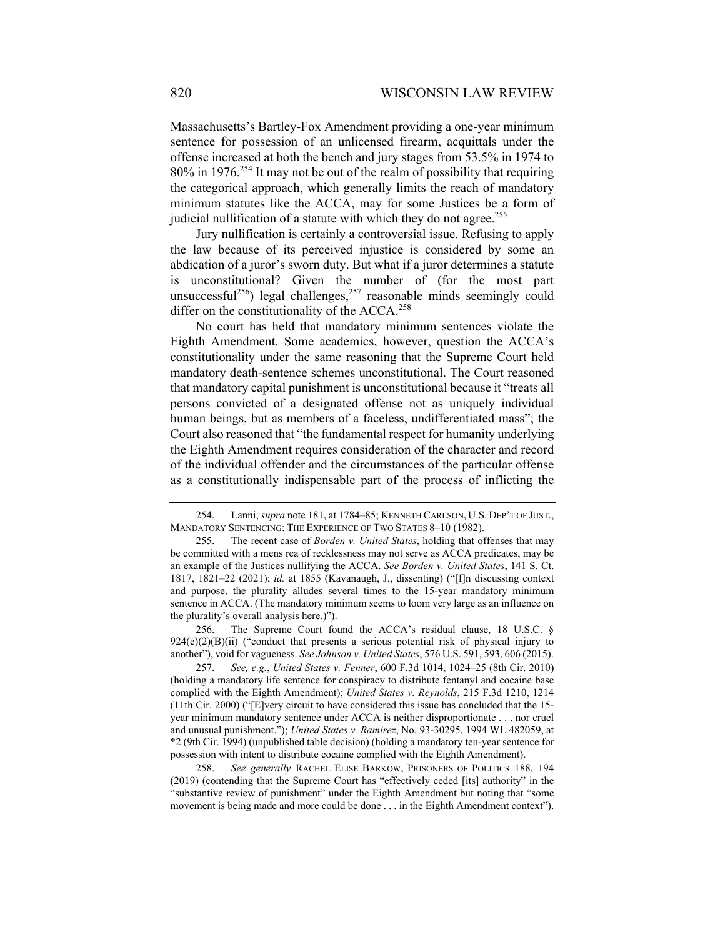Massachusetts's Bartley-Fox Amendment providing a one-year minimum sentence for possession of an unlicensed firearm, acquittals under the offense increased at both the bench and jury stages from 53.5% in 1974 to 80% in 1976.254 It may not be out of the realm of possibility that requiring the categorical approach, which generally limits the reach of mandatory minimum statutes like the ACCA, may for some Justices be a form of judicial nullification of a statute with which they do not agree.<sup>255</sup>

Jury nullification is certainly a controversial issue. Refusing to apply the law because of its perceived injustice is considered by some an abdication of a juror's sworn duty. But what if a juror determines a statute is unconstitutional? Given the number of (for the most part unsuccessful<sup>256</sup>) legal challenges,  $257$  reasonable minds seemingly could differ on the constitutionality of the  $ACCA$ .<sup>258</sup>

No court has held that mandatory minimum sentences violate the Eighth Amendment. Some academics, however, question the ACCA's constitutionality under the same reasoning that the Supreme Court held mandatory death-sentence schemes unconstitutional. The Court reasoned that mandatory capital punishment is unconstitutional because it "treats all persons convicted of a designated offense not as uniquely individual human beings, but as members of a faceless, undifferentiated mass"; the Court also reasoned that "the fundamental respect for humanity underlying the Eighth Amendment requires consideration of the character and record of the individual offender and the circumstances of the particular offense as a constitutionally indispensable part of the process of inflicting the

 256. The Supreme Court found the ACCA's residual clause, 18 U.S.C. § 924(e)(2)(B)(ii) ("conduct that presents a serious potential risk of physical injury to another"), void for vagueness. *See Johnson v. United States*, 576 U.S. 591, 593, 606 (2015).

 257. *See, e.g.*, *United States v. Fenner*, 600 F.3d 1014, 1024–25 (8th Cir. 2010) (holding a mandatory life sentence for conspiracy to distribute fentanyl and cocaine base complied with the Eighth Amendment); *United States v. Reynolds*, 215 F.3d 1210, 1214 (11th Cir. 2000) ("[E]very circuit to have considered this issue has concluded that the 15 year minimum mandatory sentence under ACCA is neither disproportionate . . . nor cruel and unusual punishment."); *United States v. Ramirez*, No. 93-30295, 1994 WL 482059, at \*2 (9th Cir. 1994) (unpublished table decision) (holding a mandatory ten-year sentence for possession with intent to distribute cocaine complied with the Eighth Amendment).

 258. *See generally* RACHEL ELISE BARKOW, PRISONERS OF POLITICS 188, 194 (2019) (contending that the Supreme Court has "effectively ceded [its] authority" in the "substantive review of punishment" under the Eighth Amendment but noting that "some movement is being made and more could be done . . . in the Eighth Amendment context").

 <sup>254.</sup> Lanni, *supra* note 181, at 1784–85; KENNETH CARLSON, U.S. DEP'T OF JUST., MANDATORY SENTENCING: THE EXPERIENCE OF TWO STATES 8–10 (1982).

 <sup>255.</sup> The recent case of *Borden v. United States*, holding that offenses that may be committed with a mens rea of recklessness may not serve as ACCA predicates, may be an example of the Justices nullifying the ACCA. *See Borden v. United States*, 141 S. Ct. 1817, 1821–22 (2021); *id.* at 1855 (Kavanaugh, J., dissenting) ("[I]n discussing context and purpose, the plurality alludes several times to the 15-year mandatory minimum sentence in ACCA. (The mandatory minimum seems to loom very large as an influence on the plurality's overall analysis here.)").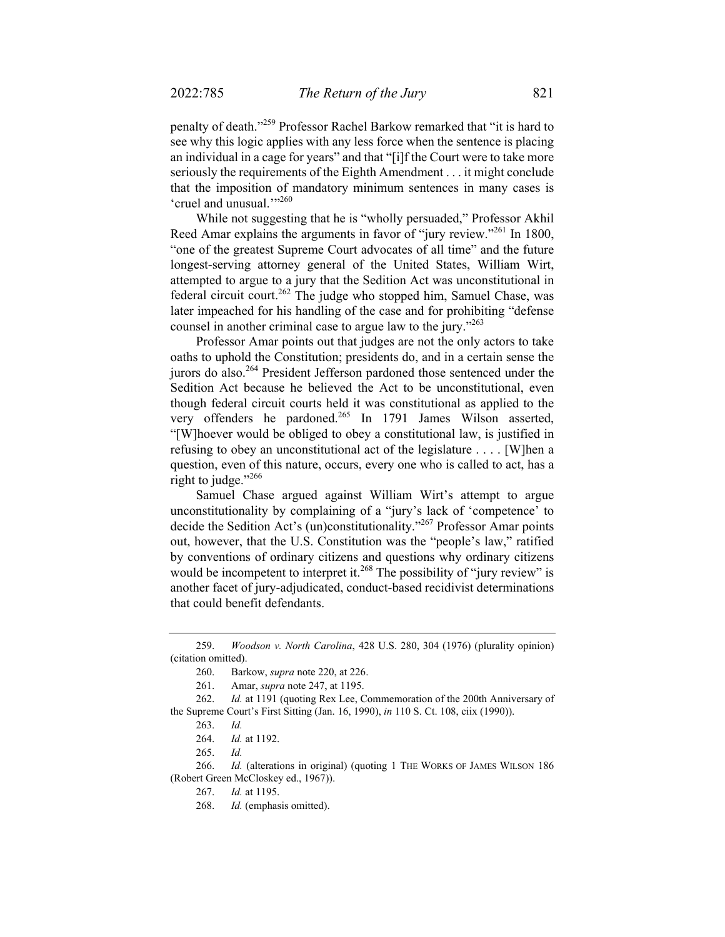penalty of death."259 Professor Rachel Barkow remarked that "it is hard to see why this logic applies with any less force when the sentence is placing an individual in a cage for years" and that "[i]f the Court were to take more seriously the requirements of the Eighth Amendment . . . it might conclude that the imposition of mandatory minimum sentences in many cases is 'cruel and unusual."<sup>260</sup>

While not suggesting that he is "wholly persuaded," Professor Akhil Reed Amar explains the arguments in favor of "jury review."<sup>261</sup> In 1800, "one of the greatest Supreme Court advocates of all time" and the future longest-serving attorney general of the United States, William Wirt, attempted to argue to a jury that the Sedition Act was unconstitutional in federal circuit court.<sup>262</sup> The judge who stopped him, Samuel Chase, was later impeached for his handling of the case and for prohibiting "defense counsel in another criminal case to argue law to the jury."263

Professor Amar points out that judges are not the only actors to take oaths to uphold the Constitution; presidents do, and in a certain sense the jurors do also.264 President Jefferson pardoned those sentenced under the Sedition Act because he believed the Act to be unconstitutional, even though federal circuit courts held it was constitutional as applied to the very offenders he pardoned.<sup>265</sup> In 1791 James Wilson asserted, "[W]hoever would be obliged to obey a constitutional law, is justified in refusing to obey an unconstitutional act of the legislature . . . . [W]hen a question, even of this nature, occurs, every one who is called to act, has a right to judge."<sup>266</sup>

Samuel Chase argued against William Wirt's attempt to argue unconstitutionality by complaining of a "jury's lack of 'competence' to decide the Sedition Act's (un)constitutionality."<sup>267</sup> Professor Amar points out, however, that the U.S. Constitution was the "people's law," ratified by conventions of ordinary citizens and questions why ordinary citizens would be incompetent to interpret it.<sup>268</sup> The possibility of "jury review" is another facet of jury-adjudicated, conduct-based recidivist determinations that could benefit defendants.

266. *Id.* (alterations in original) (quoting 1 THE WORKS OF JAMES WILSON 186 (Robert Green McCloskey ed., 1967)).

 <sup>259.</sup> *Woodson v. North Carolina*, 428 U.S. 280, 304 (1976) (plurality opinion) (citation omitted).

 <sup>260.</sup> Barkow, *supra* note 220, at 226.

 <sup>261.</sup> Amar, *supra* note 247, at 1195.

 <sup>262.</sup> *Id.* at 1191 (quoting Rex Lee, Commemoration of the 200th Anniversary of the Supreme Court's First Sitting (Jan. 16, 1990), *in* 110 S. Ct. 108, ciix (1990)).

 <sup>263.</sup> *Id.* 

 <sup>264.</sup> *Id.* at 1192.

 <sup>265.</sup> *Id.* 

 <sup>267.</sup> *Id.* at 1195.

<sup>268.</sup> *Id.* (emphasis omitted).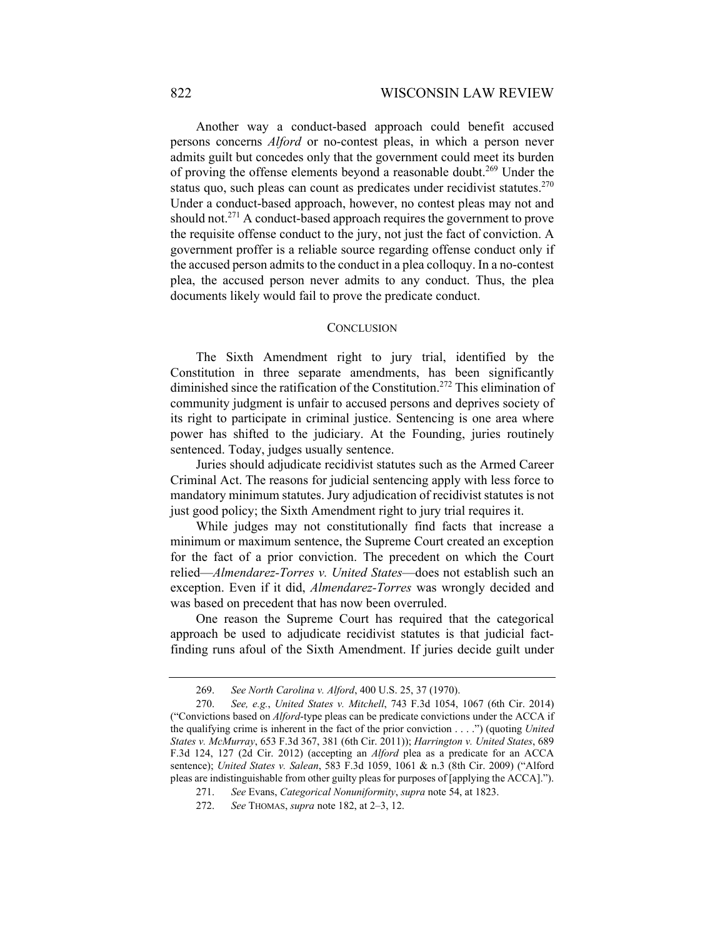Another way a conduct-based approach could benefit accused persons concerns *Alford* or no-contest pleas, in which a person never admits guilt but concedes only that the government could meet its burden of proving the offense elements beyond a reasonable doubt.<sup>269</sup> Under the status quo, such pleas can count as predicates under recidivist statutes.<sup>270</sup> Under a conduct-based approach, however, no contest pleas may not and should not.<sup>271</sup> A conduct-based approach requires the government to prove the requisite offense conduct to the jury, not just the fact of conviction. A government proffer is a reliable source regarding offense conduct only if the accused person admits to the conduct in a plea colloquy. In a no-contest plea, the accused person never admits to any conduct. Thus, the plea documents likely would fail to prove the predicate conduct.

#### **CONCLUSION**

The Sixth Amendment right to jury trial, identified by the Constitution in three separate amendments, has been significantly diminished since the ratification of the Constitution.<sup>272</sup> This elimination of community judgment is unfair to accused persons and deprives society of its right to participate in criminal justice. Sentencing is one area where power has shifted to the judiciary. At the Founding, juries routinely sentenced. Today, judges usually sentence.

Juries should adjudicate recidivist statutes such as the Armed Career Criminal Act. The reasons for judicial sentencing apply with less force to mandatory minimum statutes. Jury adjudication of recidivist statutes is not just good policy; the Sixth Amendment right to jury trial requires it.

While judges may not constitutionally find facts that increase a minimum or maximum sentence, the Supreme Court created an exception for the fact of a prior conviction. The precedent on which the Court relied—*Almendarez-Torres v. United States*—does not establish such an exception. Even if it did, *Almendarez-Torres* was wrongly decided and was based on precedent that has now been overruled.

One reason the Supreme Court has required that the categorical approach be used to adjudicate recidivist statutes is that judicial factfinding runs afoul of the Sixth Amendment. If juries decide guilt under

 <sup>269.</sup> *See North Carolina v. Alford*, 400 U.S. 25, 37 (1970).

 <sup>270.</sup> *See, e.g.*, *United States v. Mitchell*, 743 F.3d 1054, 1067 (6th Cir. 2014) ("Convictions based on *Alford*-type pleas can be predicate convictions under the ACCA if the qualifying crime is inherent in the fact of the prior conviction . . . .") (quoting *United States v. McMurray*, 653 F.3d 367, 381 (6th Cir. 2011)); *Harrington v. United States*, 689 F.3d 124, 127 (2d Cir. 2012) (accepting an *Alford* plea as a predicate for an ACCA sentence); *United States v. Salean*, 583 F.3d 1059, 1061 & n.3 (8th Cir. 2009) ("Alford pleas are indistinguishable from other guilty pleas for purposes of [applying the ACCA].").

 <sup>271.</sup> *See* Evans, *Categorical Nonuniformity*, *supra* note 54, at 1823.

 <sup>272.</sup> *See* THOMAS, *supra* note 182, at 2–3, 12.